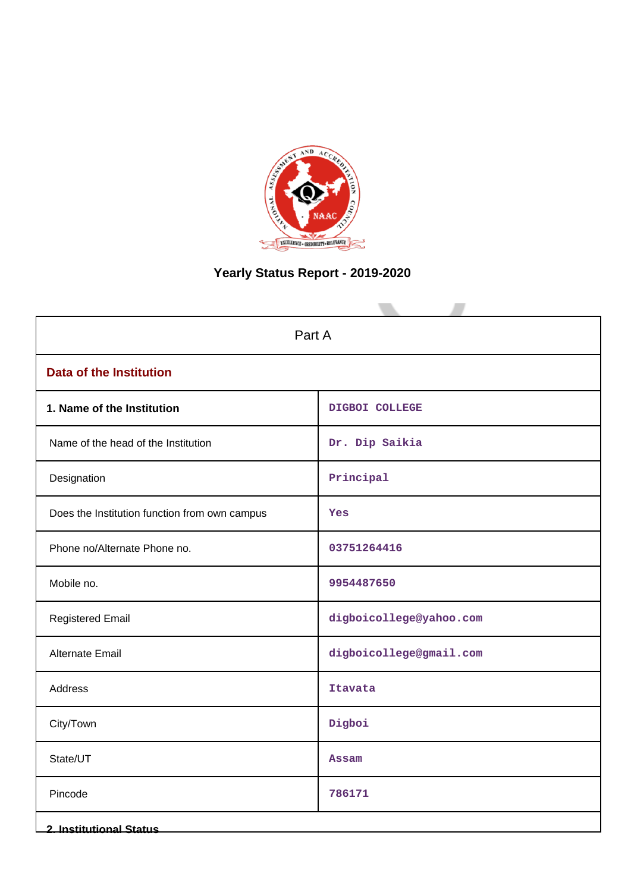

# **Yearly Status Report - 2019-2020**

| Part A                                        |                         |  |  |  |
|-----------------------------------------------|-------------------------|--|--|--|
| <b>Data of the Institution</b>                |                         |  |  |  |
| 1. Name of the Institution                    | DIGBOI COLLEGE          |  |  |  |
| Name of the head of the Institution           | Dr. Dip Saikia          |  |  |  |
| Designation                                   | Principal               |  |  |  |
| Does the Institution function from own campus | Yes                     |  |  |  |
| Phone no/Alternate Phone no.                  | 03751264416             |  |  |  |
| Mobile no.                                    | 9954487650              |  |  |  |
| <b>Registered Email</b>                       | digboicollege@yahoo.com |  |  |  |
| <b>Alternate Email</b>                        | digboicollege@gmail.com |  |  |  |
| Address                                       | <b>Itavata</b>          |  |  |  |
| City/Town                                     | Digboi                  |  |  |  |
| State/UT                                      | <b>Assam</b>            |  |  |  |
| Pincode                                       | 786171                  |  |  |  |
| <b>2. Institutional Status</b>                |                         |  |  |  |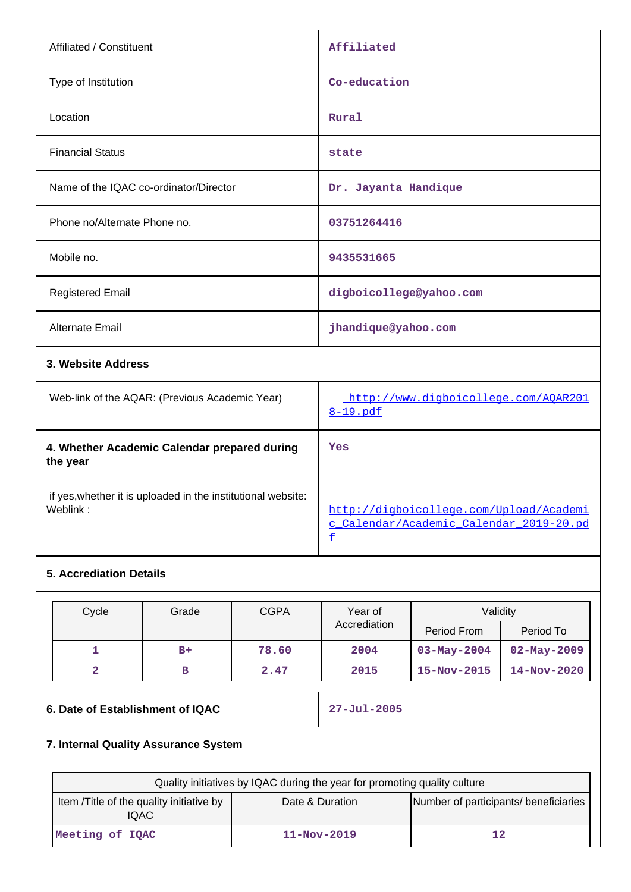| Affiliated / Constituent                                                 | Affiliated                                                                         |
|--------------------------------------------------------------------------|------------------------------------------------------------------------------------|
| Type of Institution                                                      | Co-education                                                                       |
| Location                                                                 | Rural                                                                              |
| <b>Financial Status</b>                                                  | state                                                                              |
| Name of the IQAC co-ordinator/Director                                   | Dr. Jayanta Handique                                                               |
| Phone no/Alternate Phone no.                                             | 03751264416                                                                        |
| Mobile no.                                                               | 9435531665                                                                         |
| <b>Registered Email</b>                                                  | digboicollege@yahoo.com                                                            |
| <b>Alternate Email</b>                                                   | jhandique@yahoo.com                                                                |
| 3. Website Address                                                       |                                                                                    |
| Web-link of the AQAR: (Previous Academic Year)                           | http://www.digboicollege.com/AQAR201<br>8-19.pdf                                   |
| 4. Whether Academic Calendar prepared during<br>the year                 | Yes                                                                                |
| if yes, whether it is uploaded in the institutional website:<br>Weblink: | http://digboicollege.com/Upload/Academi<br>c Calendar/Academic Calendar 2019-20.pd |

# **5. Accrediation Details**

| Cycle | Grade | <b>CGPA</b> | Validity<br>Year of |                   |                   |
|-------|-------|-------------|---------------------|-------------------|-------------------|
|       |       |             | Accrediation        | Period From       | Period To         |
|       | $B+$  | 78.60       | 2004                | $03 - May - 2004$ | $02 - May - 2009$ |
| 2     | в     | 2.47        | 2015                | $15 - Nov - 2015$ | $14 - Nov - 2020$ |

[f](http://digboicollege.com/Upload/Academic_Calendar/Academic_Calendar_2019-20.pdf)

# **6. Date of Establishment of IQAC 27-Jul-2005**

# **7. Internal Quality Assurance System**

| Quality initiatives by IQAC during the year for promoting quality culture                                      |                   |  |  |  |  |  |
|----------------------------------------------------------------------------------------------------------------|-------------------|--|--|--|--|--|
| Number of participants/ beneficiaries<br>Item / Title of the quality initiative by<br>Date & Duration<br>IQAC. |                   |  |  |  |  |  |
| Meeting of IQAC                                                                                                | $11 - Nov - 2019$ |  |  |  |  |  |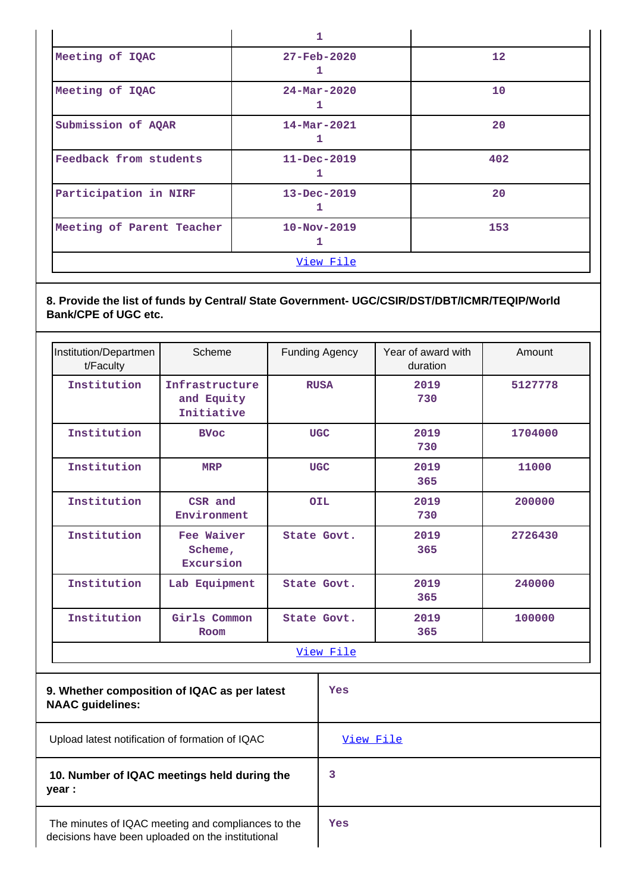|                           | $\mathbf{1}$                  |                 |  |  |  |
|---------------------------|-------------------------------|-----------------|--|--|--|
| Meeting of IQAC           | $27 - \text{Feb} - 2020$<br>ı | 12 <sup>°</sup> |  |  |  |
| Meeting of IQAC           | $24 - \text{Mar} - 2020$      | 10              |  |  |  |
| Submission of AQAR        | $14 - Mar - 2021$<br>ı        | 20              |  |  |  |
| Feedback from students    | $11 - Dec - 2019$<br>1        | 402             |  |  |  |
| Participation in NIRF     | $13 - Dec - 2019$<br>1        | 20              |  |  |  |
| Meeting of Parent Teacher | $10 - Nov - 2019$             | 153             |  |  |  |
| View File                 |                               |                 |  |  |  |

# **8. Provide the list of funds by Central/ State Government- UGC/CSIR/DST/DBT/ICMR/TEQIP/World Bank/CPE of UGC etc.**

| Institution/Departmen<br>t/Faculty                                      | Scheme                                     |             | <b>Funding Agency</b> | Year of award with<br>duration | Amount  |             |        |             |       |
|-------------------------------------------------------------------------|--------------------------------------------|-------------|-----------------------|--------------------------------|---------|-------------|--------|-------------|-------|
| Institution                                                             | Infrastructure<br>and Equity<br>Initiative | <b>RUSA</b> |                       | 2019<br>730                    | 5127778 |             |        |             |       |
| Institution                                                             | <b>BVoc</b>                                | <b>UGC</b>  |                       | 2019<br>730                    | 1704000 |             |        |             |       |
| Institution                                                             | <b>MRP</b>                                 | <b>UGC</b>  |                       |                                |         |             |        | 2019<br>365 | 11000 |
| Institution                                                             | CSR and<br>Environment                     | <b>OIL</b>  |                       |                                |         | 2019<br>730 | 200000 |             |       |
| Institution                                                             | Fee Waiver<br>Scheme,<br>Excursion         | State Govt. |                       | 2019<br>365                    | 2726430 |             |        |             |       |
| Institution                                                             | Lab Equipment                              |             | State Govt.           | 2019<br>365                    | 240000  |             |        |             |       |
| Institution                                                             | Girls Common<br>Room                       |             | State Govt.           | 2019<br>365                    | 100000  |             |        |             |       |
|                                                                         |                                            |             | View File             |                                |         |             |        |             |       |
| 9. Whether composition of IQAC as per latest<br><b>NAAC</b> guidelines: |                                            |             | Yes                   |                                |         |             |        |             |       |
| Upload latest notification of formation of IQAC                         |                                            |             | View File             |                                |         |             |        |             |       |

# **10. Number of IQAC meetings held during the year :**

**Yes**

**3**

 The minutes of IQAC meeting and compliances to the decisions have been uploaded on the institutional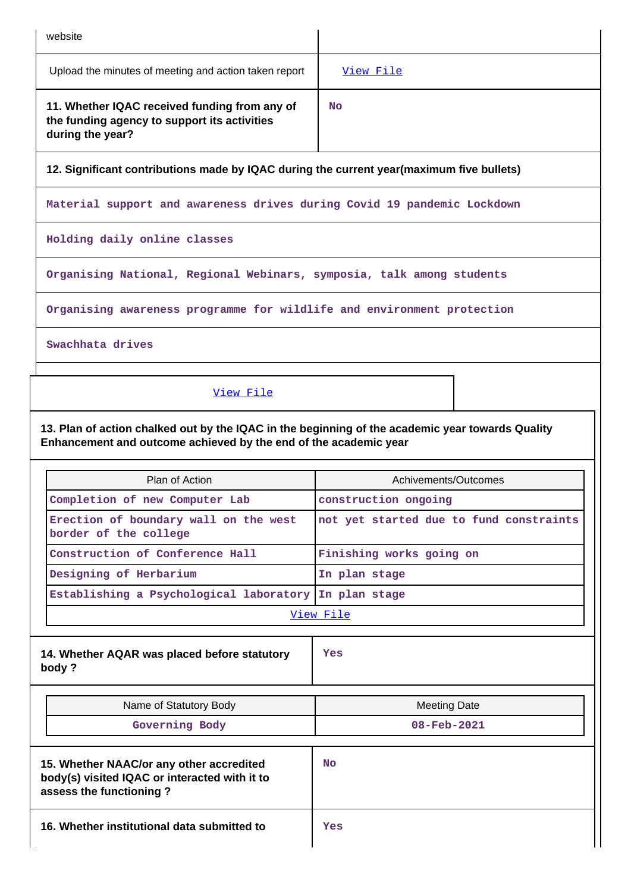| website                                                                                                                                                              |                                                                       |  |  |  |  |
|----------------------------------------------------------------------------------------------------------------------------------------------------------------------|-----------------------------------------------------------------------|--|--|--|--|
| Upload the minutes of meeting and action taken report                                                                                                                | View File                                                             |  |  |  |  |
| 11. Whether IQAC received funding from any of<br>the funding agency to support its activities<br>during the year?                                                    | <b>No</b>                                                             |  |  |  |  |
| 12. Significant contributions made by IQAC during the current year(maximum five bullets)                                                                             |                                                                       |  |  |  |  |
| Material support and awareness drives during Covid 19 pandemic Lockdown                                                                                              |                                                                       |  |  |  |  |
| Holding daily online classes                                                                                                                                         |                                                                       |  |  |  |  |
|                                                                                                                                                                      | Organising National, Regional Webinars, symposia, talk among students |  |  |  |  |
| Organising awareness programme for wildlife and environment protection                                                                                               |                                                                       |  |  |  |  |
| Swachhata drives                                                                                                                                                     |                                                                       |  |  |  |  |
| View File                                                                                                                                                            |                                                                       |  |  |  |  |
| 13. Plan of action chalked out by the IQAC in the beginning of the academic year towards Quality<br>Enhancement and outcome achieved by the end of the academic year |                                                                       |  |  |  |  |
| Plan of Action<br>Achivements/Outcomes                                                                                                                               |                                                                       |  |  |  |  |
| Completion of new Computer Lab                                                                                                                                       | construction ongoing                                                  |  |  |  |  |
| Erection of boundary wall on the west<br>border of the college                                                                                                       | not yet started due to fund constraints                               |  |  |  |  |
| Construction of Conference Hall                                                                                                                                      | Finishing works going on                                              |  |  |  |  |

**Designing of Herbarium In plan stage Establishing a Psychological laboratory In plan stage**

[View File](https://assessmentonline.naac.gov.in/public/Postacc/Quality/12934_Quality.xlsx)

**14. Whether AQAR was placed before statutory body ?**

**Yes**

| Name of Statutory Body                                                                                               | <b>Meeting Date</b>      |
|----------------------------------------------------------------------------------------------------------------------|--------------------------|
| Governing Body                                                                                                       | $08 - \text{Feb} - 2021$ |
| 15. Whether NAAC/or any other accredited<br>body(s) visited IQAC or interacted with it to<br>assess the functioning? | <b>No</b>                |
| 16. Whether institutional data submitted to                                                                          | Yes                      |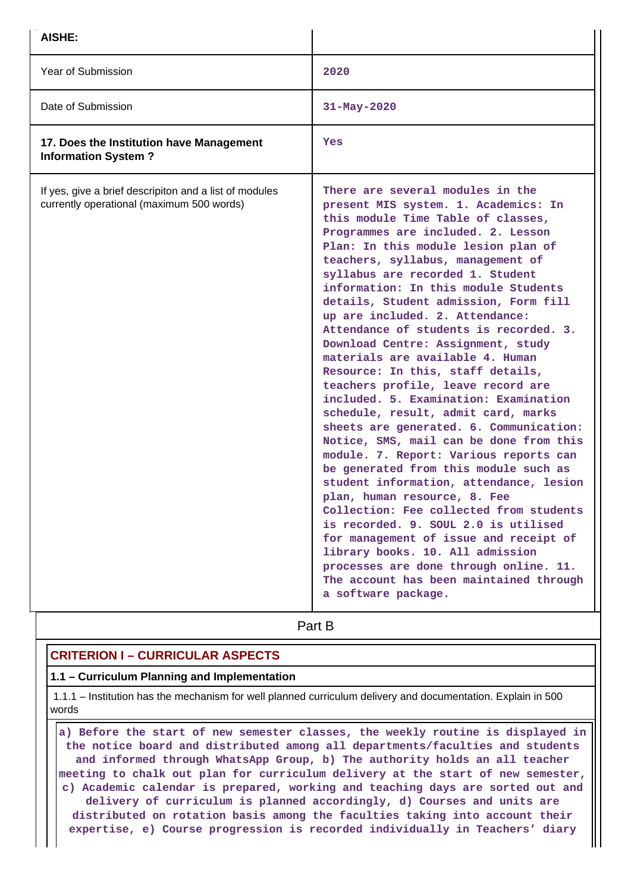| AISHE:                                                                                              |                                                                                                                                                                                                                                                                                                                                                                                                                                                                                                                                                                                                                                                                                                                                                                                                                                                                                                                                                                                                                                                                                                                                                                                                          |  |  |
|-----------------------------------------------------------------------------------------------------|----------------------------------------------------------------------------------------------------------------------------------------------------------------------------------------------------------------------------------------------------------------------------------------------------------------------------------------------------------------------------------------------------------------------------------------------------------------------------------------------------------------------------------------------------------------------------------------------------------------------------------------------------------------------------------------------------------------------------------------------------------------------------------------------------------------------------------------------------------------------------------------------------------------------------------------------------------------------------------------------------------------------------------------------------------------------------------------------------------------------------------------------------------------------------------------------------------|--|--|
| Year of Submission                                                                                  | 2020                                                                                                                                                                                                                                                                                                                                                                                                                                                                                                                                                                                                                                                                                                                                                                                                                                                                                                                                                                                                                                                                                                                                                                                                     |  |  |
| Date of Submission                                                                                  | 31-May-2020                                                                                                                                                                                                                                                                                                                                                                                                                                                                                                                                                                                                                                                                                                                                                                                                                                                                                                                                                                                                                                                                                                                                                                                              |  |  |
| 17. Does the Institution have Management<br><b>Information System?</b>                              | Yes                                                                                                                                                                                                                                                                                                                                                                                                                                                                                                                                                                                                                                                                                                                                                                                                                                                                                                                                                                                                                                                                                                                                                                                                      |  |  |
| If yes, give a brief descripiton and a list of modules<br>currently operational (maximum 500 words) | There are several modules in the<br>present MIS system. 1. Academics: In<br>this module Time Table of classes,<br>Programmes are included. 2. Lesson<br>Plan: In this module lesion plan of<br>teachers, syllabus, management of<br>syllabus are recorded 1. Student<br>information: In this module Students<br>details, Student admission, Form fill<br>up are included. 2. Attendance:<br>Attendance of students is recorded. 3.<br>Download Centre: Assignment, study<br>materials are available 4. Human<br>Resource: In this, staff details,<br>teachers profile, leave record are<br>included. 5. Examination: Examination<br>schedule, result, admit card, marks<br>sheets are generated. 6. Communication:<br>Notice, SMS, mail can be done from this<br>module. 7. Report: Various reports can<br>be generated from this module such as<br>student information, attendance, lesion<br>plan, human resource, 8. Fee<br>Collection: Fee collected from students<br>is recorded. 9. SOUL 2.0 is utilised<br>for management of issue and receipt of<br>library books. 10. All admission<br>processes are done through online. 11.<br>The account has been maintained through<br>a software package. |  |  |
|                                                                                                     | Part B                                                                                                                                                                                                                                                                                                                                                                                                                                                                                                                                                                                                                                                                                                                                                                                                                                                                                                                                                                                                                                                                                                                                                                                                   |  |  |

# **CRITERION I – CURRICULAR ASPECTS**

#### **1.1 – Curriculum Planning and Implementation**

 1.1.1 – Institution has the mechanism for well planned curriculum delivery and documentation. Explain in 500 words

 **a) Before the start of new semester classes, the weekly routine is displayed in the notice board and distributed among all departments/faculties and students and informed through WhatsApp Group, b) The authority holds an all teacher meeting to chalk out plan for curriculum delivery at the start of new semester, c) Academic calendar is prepared, working and teaching days are sorted out and delivery of curriculum is planned accordingly, d) Courses and units are distributed on rotation basis among the faculties taking into account their expertise, e) Course progression is recorded individually in Teachers' diary**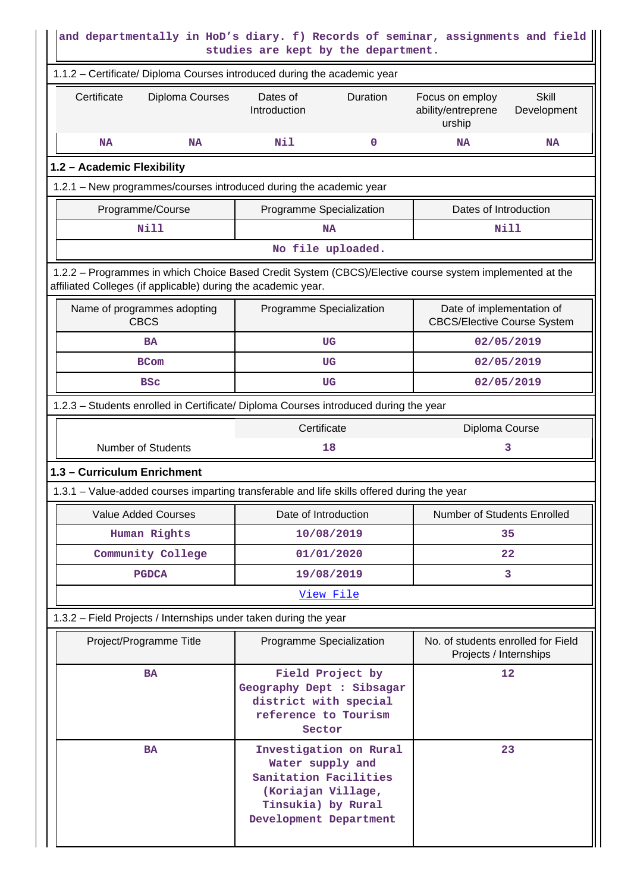| and departmentally in HoD's diary. f) Records of seminar, assignments and field<br>studies are kept by the department.                                                   |                                                                                                          |                                                                 |  |  |  |  |  |
|--------------------------------------------------------------------------------------------------------------------------------------------------------------------------|----------------------------------------------------------------------------------------------------------|-----------------------------------------------------------------|--|--|--|--|--|
| 1.1.2 - Certificate/ Diploma Courses introduced during the academic year                                                                                                 |                                                                                                          |                                                                 |  |  |  |  |  |
| Certificate<br>Diploma Courses<br><b>Skill</b><br>Dates of<br>Duration<br>Focus on employ<br>Introduction<br>ability/entreprene<br>Development<br>urship                 |                                                                                                          |                                                                 |  |  |  |  |  |
| <b>NA</b><br>NA                                                                                                                                                          | Nil<br>0                                                                                                 | <b>NA</b><br><b>NA</b>                                          |  |  |  |  |  |
| 1.2 - Academic Flexibility                                                                                                                                               |                                                                                                          |                                                                 |  |  |  |  |  |
| 1.2.1 – New programmes/courses introduced during the academic year                                                                                                       |                                                                                                          |                                                                 |  |  |  |  |  |
| Programme/Course                                                                                                                                                         | Programme Specialization                                                                                 | Dates of Introduction                                           |  |  |  |  |  |
| <b>Nill</b>                                                                                                                                                              | <b>NA</b>                                                                                                | <b>Nill</b>                                                     |  |  |  |  |  |
|                                                                                                                                                                          | No file uploaded.                                                                                        |                                                                 |  |  |  |  |  |
| 1.2.2 - Programmes in which Choice Based Credit System (CBCS)/Elective course system implemented at the<br>affiliated Colleges (if applicable) during the academic year. |                                                                                                          |                                                                 |  |  |  |  |  |
| Name of programmes adopting<br><b>CBCS</b>                                                                                                                               | Programme Specialization                                                                                 | Date of implementation of<br><b>CBCS/Elective Course System</b> |  |  |  |  |  |
| <b>BA</b>                                                                                                                                                                | UG                                                                                                       | 02/05/2019                                                      |  |  |  |  |  |
| <b>BCom</b>                                                                                                                                                              | UG                                                                                                       | 02/05/2019                                                      |  |  |  |  |  |
| <b>BSC</b>                                                                                                                                                               | UG                                                                                                       | 02/05/2019                                                      |  |  |  |  |  |
| 1.2.3 – Students enrolled in Certificate/ Diploma Courses introduced during the year                                                                                     |                                                                                                          |                                                                 |  |  |  |  |  |
|                                                                                                                                                                          | Certificate                                                                                              | Diploma Course                                                  |  |  |  |  |  |
| <b>Number of Students</b><br>18<br>3                                                                                                                                     |                                                                                                          |                                                                 |  |  |  |  |  |
| 1.3 - Curriculum Enrichment                                                                                                                                              |                                                                                                          |                                                                 |  |  |  |  |  |
| 1.3.1 – Value-added courses imparting transferable and life skills offered during the year                                                                               |                                                                                                          |                                                                 |  |  |  |  |  |
| <b>Value Added Courses</b>                                                                                                                                               | Date of Introduction                                                                                     | Number of Students Enrolled                                     |  |  |  |  |  |
| Human Rights                                                                                                                                                             | 10/08/2019                                                                                               | 35                                                              |  |  |  |  |  |
| Community College                                                                                                                                                        | 01/01/2020                                                                                               | 22                                                              |  |  |  |  |  |
| <b>PGDCA</b>                                                                                                                                                             | 19/08/2019                                                                                               | 3                                                               |  |  |  |  |  |
|                                                                                                                                                                          | View File                                                                                                |                                                                 |  |  |  |  |  |
| 1.3.2 – Field Projects / Internships under taken during the year                                                                                                         |                                                                                                          |                                                                 |  |  |  |  |  |
| Project/Programme Title                                                                                                                                                  | Programme Specialization                                                                                 | No. of students enrolled for Field<br>Projects / Internships    |  |  |  |  |  |
| <b>BA</b>                                                                                                                                                                | Field Project by<br>Geography Dept : Sibsagar<br>district with special<br>reference to Tourism<br>Sector | 12                                                              |  |  |  |  |  |
| 23<br>Investigation on Rural<br><b>BA</b><br>Water supply and<br>Sanitation Facilities<br>(Koriajan Village,<br>Tinsukia) by Rural<br>Development Department             |                                                                                                          |                                                                 |  |  |  |  |  |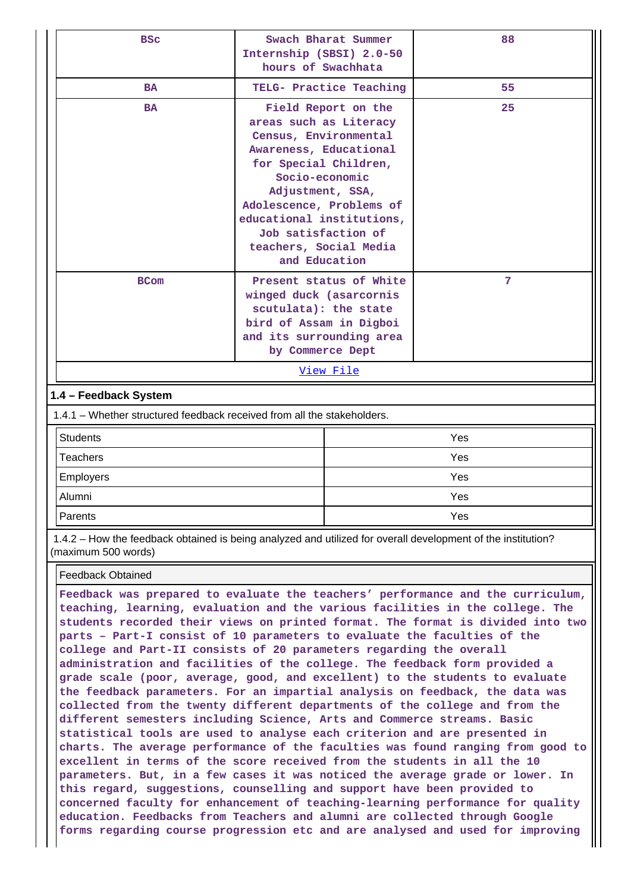| <b>BSC</b>                                                                                       | Swach Bharat Summer<br>Internship (SBSI) 2.0-50<br>hours of Swachhata                                                                                                                                                                                                                      |                         | 88  |
|--------------------------------------------------------------------------------------------------|--------------------------------------------------------------------------------------------------------------------------------------------------------------------------------------------------------------------------------------------------------------------------------------------|-------------------------|-----|
| <b>BA</b>                                                                                        |                                                                                                                                                                                                                                                                                            | TELG- Practice Teaching | 55  |
| <b>BA</b>                                                                                        | Field Report on the<br>areas such as Literacy<br>Census, Environmental<br>Awareness, Educational<br>for Special Children,<br>Socio-economic<br>Adjustment, SSA,<br>Adolescence, Problems of<br>educational institutions,<br>Job satisfaction of<br>teachers, Social Media<br>and Education |                         | 25  |
| <b>BCom</b>                                                                                      | Present status of White<br>winged duck (asarcornis<br>scutulata): the state<br>bird of Assam in Digboi<br>and its surrounding area<br>by Commerce Dept<br>View File                                                                                                                        |                         | 7   |
|                                                                                                  |                                                                                                                                                                                                                                                                                            |                         |     |
| 1.4 - Feedback System<br>1.4.1 – Whether structured feedback received from all the stakeholders. |                                                                                                                                                                                                                                                                                            |                         |     |
| <b>Students</b>                                                                                  |                                                                                                                                                                                                                                                                                            |                         | Yes |
| <b>Teachers</b>                                                                                  |                                                                                                                                                                                                                                                                                            |                         | Yes |
| <b>Employers</b>                                                                                 |                                                                                                                                                                                                                                                                                            |                         | Yes |
| Alumni                                                                                           |                                                                                                                                                                                                                                                                                            |                         | Yes |

 1.4.2 – How the feedback obtained is being analyzed and utilized for overall development of the institution? (maximum 500 words)

Parents Yes

#### Feedback Obtained

**Feedback was prepared to evaluate the teachers' performance and the curriculum, teaching, learning, evaluation and the various facilities in the college. The students recorded their views on printed format. The format is divided into two parts – Part-I consist of 10 parameters to evaluate the faculties of the college and Part-II consists of 20 parameters regarding the overall administration and facilities of the college. The feedback form provided a grade scale (poor, average, good, and excellent) to the students to evaluate the feedback parameters. For an impartial analysis on feedback, the data was collected from the twenty different departments of the college and from the different semesters including Science, Arts and Commerce streams. Basic statistical tools are used to analyse each criterion and are presented in charts. The average performance of the faculties was found ranging from good to excellent in terms of the score received from the students in all the 10 parameters. But, in a few cases it was noticed the average grade or lower. In this regard, suggestions, counselling and support have been provided to concerned faculty for enhancement of teaching-learning performance for quality education. Feedbacks from Teachers and alumni are collected through Google forms regarding course progression etc and are analysed and used for improving**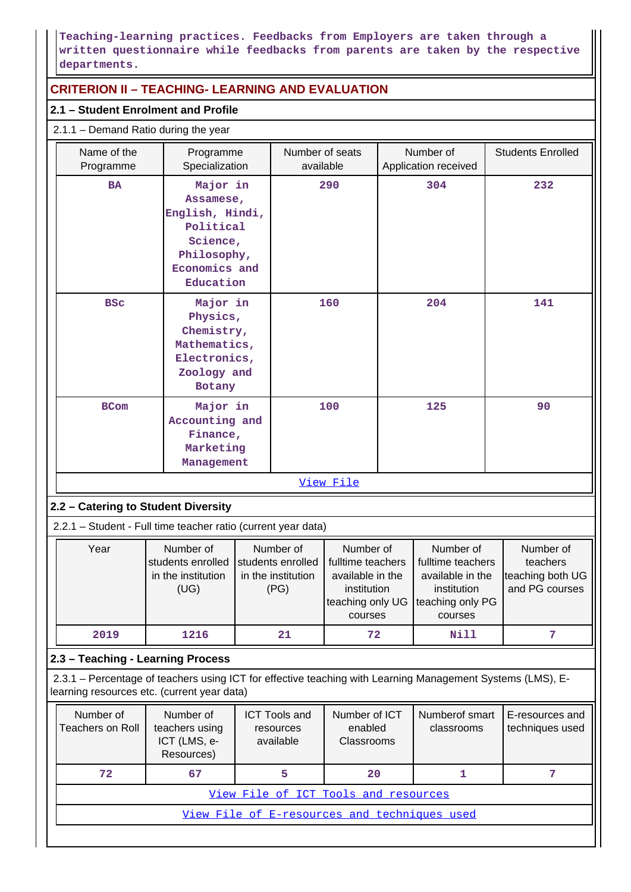# **Teaching-learning practices. Feedbacks from Employers are taken through a written questionnaire while feedbacks from parents are taken by the respective departments.**

# **CRITERION II – TEACHING- LEARNING AND EVALUATION**

# **2.1 – Student Enrolment and Profile**

|                                                                                  | 2.1.1 - Demand Ratio during the year                                                                                                 |      |  |                                                                                                  |           |                                                                                                  |                                   |                                                             |                          |
|----------------------------------------------------------------------------------|--------------------------------------------------------------------------------------------------------------------------------------|------|--|--------------------------------------------------------------------------------------------------|-----------|--------------------------------------------------------------------------------------------------|-----------------------------------|-------------------------------------------------------------|--------------------------|
|                                                                                  | Name of the<br>Programme<br>Specialization<br>Programme                                                                              |      |  | Number of seats<br>available                                                                     |           |                                                                                                  | Number of<br>Application received |                                                             | <b>Students Enrolled</b> |
|                                                                                  | Major in<br><b>BA</b><br>Assamese,<br>English, Hindi,<br>Political<br>Science,<br>Philosophy,<br>Economics and<br>Education          |      |  |                                                                                                  | 290       | 304                                                                                              |                                   | 232                                                         |                          |
|                                                                                  | Major in<br><b>BSC</b><br>Physics,<br>Chemistry,<br>Mathematics,<br>Electronics,<br>Zoology and<br>Botany                            |      |  |                                                                                                  | 160       |                                                                                                  | 204                               | 141                                                         |                          |
| Major in<br><b>BCom</b><br>Accounting and<br>Finance,<br>Marketing<br>Management |                                                                                                                                      |      |  | 100                                                                                              |           | 125                                                                                              |                                   | 90                                                          |                          |
|                                                                                  |                                                                                                                                      |      |  |                                                                                                  | View File |                                                                                                  |                                   |                                                             |                          |
|                                                                                  | 2.2 - Catering to Student Diversity                                                                                                  |      |  |                                                                                                  |           |                                                                                                  |                                   |                                                             |                          |
|                                                                                  | 2.2.1 - Student - Full time teacher ratio (current year data)                                                                        |      |  |                                                                                                  |           |                                                                                                  |                                   |                                                             |                          |
|                                                                                  | Number of<br>Number of<br>Year<br>students enrolled<br>students enrolled<br>in the institution<br>in the institution<br>(UG)<br>(PG) |      |  | Number of<br>fulltime teachers<br>available in the<br>institution<br>teaching only UG<br>courses |           | Number of<br>fulltime teachers<br>available in the<br>institution<br>teaching only PG<br>courses |                                   | Number of<br>teachers<br>teaching both UG<br>and PG courses |                          |
|                                                                                  | 2019                                                                                                                                 | 1216 |  | 21                                                                                               | 72        |                                                                                                  | <b>Nill</b>                       |                                                             | $\overline{7}$           |

# **2.3 – Teaching - Learning Process**

 2.3.1 – Percentage of teachers using ICT for effective teaching with Learning Management Systems (LMS), Elearning resources etc. (current year data)

| Number of<br>Teachers on Roll                | Number of<br>teachers using<br>ICT (LMS, e-<br>Resources) | <b>ICT Tools and</b><br>resources<br>available | Number of ICT<br>enabled<br>Classrooms | Numberof smart<br>classrooms | E-resources and<br>techniques used |  |  |  |  |
|----------------------------------------------|-----------------------------------------------------------|------------------------------------------------|----------------------------------------|------------------------------|------------------------------------|--|--|--|--|
| 72                                           | 67                                                        |                                                | 20                                     |                              |                                    |  |  |  |  |
| View File of ICT Tools and resources         |                                                           |                                                |                                        |                              |                                    |  |  |  |  |
| View File of E-resources and techniques used |                                                           |                                                |                                        |                              |                                    |  |  |  |  |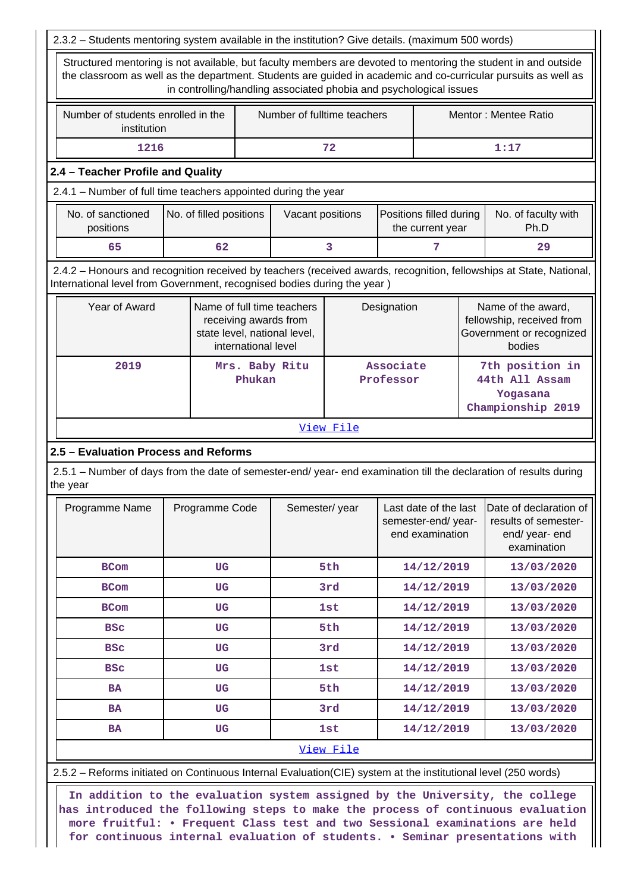| 2.3.2 - Students mentoring system available in the institution? Give details. (maximum 500 words)                                                                                                                                                                                                      |                                                   |                     |                                                                                     |               |                             |                                             |                                                                                       |                                                                    |                                                                               |
|--------------------------------------------------------------------------------------------------------------------------------------------------------------------------------------------------------------------------------------------------------------------------------------------------------|---------------------------------------------------|---------------------|-------------------------------------------------------------------------------------|---------------|-----------------------------|---------------------------------------------|---------------------------------------------------------------------------------------|--------------------------------------------------------------------|-------------------------------------------------------------------------------|
| Structured mentoring is not available, but faculty members are devoted to mentoring the student in and outside<br>the classroom as well as the department. Students are guided in academic and co-curricular pursuits as well as<br>in controlling/handling associated phobia and psychological issues |                                                   |                     |                                                                                     |               |                             |                                             |                                                                                       |                                                                    |                                                                               |
|                                                                                                                                                                                                                                                                                                        | Number of students enrolled in the<br>institution |                     |                                                                                     |               | Number of fulltime teachers |                                             |                                                                                       | Mentor: Mentee Ratio                                               |                                                                               |
| 1216                                                                                                                                                                                                                                                                                                   |                                                   |                     |                                                                                     |               | 72                          |                                             |                                                                                       |                                                                    | 1:17                                                                          |
| 2.4 - Teacher Profile and Quality                                                                                                                                                                                                                                                                      |                                                   |                     |                                                                                     |               |                             |                                             |                                                                                       |                                                                    |                                                                               |
| 2.4.1 - Number of full time teachers appointed during the year                                                                                                                                                                                                                                         |                                                   |                     |                                                                                     |               |                             |                                             |                                                                                       |                                                                    |                                                                               |
| No. of sanctioned<br>No. of filled positions<br>positions                                                                                                                                                                                                                                              |                                                   |                     | Vacant positions                                                                    |               |                             | Positions filled during<br>the current year |                                                                                       | No. of faculty with<br>Ph.D                                        |                                                                               |
| 65                                                                                                                                                                                                                                                                                                     |                                                   | 62                  |                                                                                     |               | 3                           |                                             | 7                                                                                     |                                                                    | 29                                                                            |
| 2.4.2 - Honours and recognition received by teachers (received awards, recognition, fellowships at State, National,<br>International level from Government, recognised bodies during the year)                                                                                                         |                                                   |                     |                                                                                     |               |                             |                                             |                                                                                       |                                                                    |                                                                               |
| Year of Award                                                                                                                                                                                                                                                                                          |                                                   | international level | Name of full time teachers<br>receiving awards from<br>state level, national level, | Designation   |                             |                                             | Name of the award,<br>fellowship, received from<br>Government or recognized<br>bodies |                                                                    |                                                                               |
| 2019                                                                                                                                                                                                                                                                                                   |                                                   |                     | Mrs. Baby Ritu<br>Phukan                                                            |               |                             | Associate<br>Professor                      |                                                                                       | 7th position in<br>44th All Assam<br>Yogasana<br>Championship 2019 |                                                                               |
|                                                                                                                                                                                                                                                                                                        |                                                   |                     |                                                                                     |               | View File                   |                                             |                                                                                       |                                                                    |                                                                               |
| 2.5 - Evaluation Process and Reforms                                                                                                                                                                                                                                                                   |                                                   |                     |                                                                                     |               |                             |                                             |                                                                                       |                                                                    |                                                                               |
| 2.5.1 – Number of days from the date of semester-end/ year- end examination till the declaration of results during<br>the year                                                                                                                                                                         |                                                   |                     |                                                                                     |               |                             |                                             |                                                                                       |                                                                    |                                                                               |
| Programme Name                                                                                                                                                                                                                                                                                         |                                                   | Programme Code      |                                                                                     | Semester/year |                             |                                             | Last date of the last<br>semester-end/year-<br>end examination                        |                                                                    | Date of declaration of<br>results of semester-<br>end/year-end<br>examination |
| <b>BCom</b>                                                                                                                                                                                                                                                                                            |                                                   | UG                  |                                                                                     |               | 5th                         |                                             | 14/12/2019                                                                            |                                                                    | 13/03/2020                                                                    |
| <b>BCom</b>                                                                                                                                                                                                                                                                                            |                                                   | UG                  |                                                                                     |               | 3rd                         | 14/12/2019                                  |                                                                                       |                                                                    | 13/03/2020                                                                    |
| <b>BCom</b>                                                                                                                                                                                                                                                                                            |                                                   | UG                  |                                                                                     |               | <b>1st</b>                  |                                             | 14/12/2019                                                                            |                                                                    | 13/03/2020                                                                    |
| <b>BSC</b>                                                                                                                                                                                                                                                                                             |                                                   | <b>UG</b>           |                                                                                     |               | 5th                         |                                             | 14/12/2019                                                                            |                                                                    | 13/03/2020                                                                    |
| <b>BSC</b>                                                                                                                                                                                                                                                                                             |                                                   | <b>UG</b>           |                                                                                     |               | 3rd                         |                                             | 14/12/2019                                                                            |                                                                    | 13/03/2020                                                                    |
| <b>BSC</b>                                                                                                                                                                                                                                                                                             |                                                   | UG                  |                                                                                     |               | <b>1st</b>                  |                                             | 14/12/2019                                                                            |                                                                    | 13/03/2020                                                                    |
| <b>BA</b>                                                                                                                                                                                                                                                                                              |                                                   | UG                  |                                                                                     |               | 5th                         |                                             | 14/12/2019                                                                            |                                                                    | 13/03/2020                                                                    |
| BA                                                                                                                                                                                                                                                                                                     |                                                   | UG                  |                                                                                     |               | 3rd                         |                                             | 14/12/2019                                                                            |                                                                    | 13/03/2020                                                                    |
| <b>BA</b>                                                                                                                                                                                                                                                                                              |                                                   | <b>UG</b>           |                                                                                     |               | <b>1st</b>                  |                                             | 14/12/2019                                                                            |                                                                    | 13/03/2020                                                                    |
|                                                                                                                                                                                                                                                                                                        |                                                   |                     |                                                                                     |               | View File                   |                                             |                                                                                       |                                                                    |                                                                               |
| 2.5.2 - Reforms initiated on Continuous Internal Evaluation(CIE) system at the institutional level (250 words)                                                                                                                                                                                         |                                                   |                     |                                                                                     |               |                             |                                             |                                                                                       |                                                                    |                                                                               |

 **In addition to the evaluation system assigned by the University, the college has introduced the following steps to make the process of continuous evaluation more fruitful: • Frequent Class test and two Sessional examinations are held for continuous internal evaluation of students. • Seminar presentations with**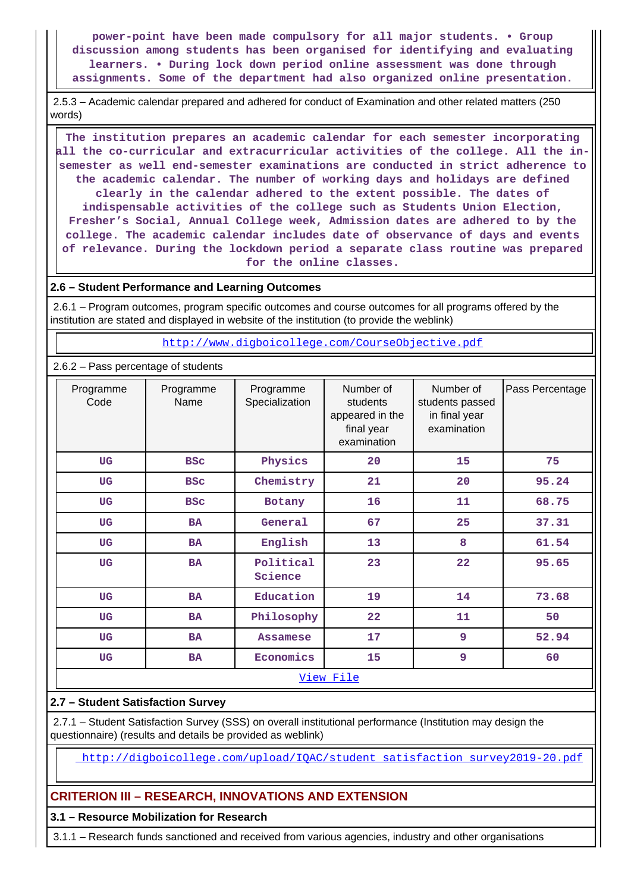**power-point have been made compulsory for all major students. • Group discussion among students has been organised for identifying and evaluating learners. • During lock down period online assessment was done through assignments. Some of the department had also organized online presentation.**

 2.5.3 – Academic calendar prepared and adhered for conduct of Examination and other related matters (250 words)

 **The institution prepares an academic calendar for each semester incorporating all the co-curricular and extracurricular activities of the college. All the insemester as well end-semester examinations are conducted in strict adherence to the academic calendar. The number of working days and holidays are defined clearly in the calendar adhered to the extent possible. The dates of indispensable activities of the college such as Students Union Election, Fresher's Social, Annual College week, Admission dates are adhered to by the college. The academic calendar includes date of observance of days and events of relevance. During the lockdown period a separate class routine was prepared for the online classes.**

### **2.6 – Student Performance and Learning Outcomes**

 2.6.1 – Program outcomes, program specific outcomes and course outcomes for all programs offered by the institution are stated and displayed in website of the institution (to provide the weblink)

<http://www.digboicollege.com/CourseObjective.pdf>

### 2.6.2 – Pass percentage of students

| Programme<br>Code      | Programme<br>Name | Programme<br>Specialization | Number of<br>students<br>appeared in the<br>final year<br>examination | Number of<br>students passed<br>in final year<br>examination | Pass Percentage |
|------------------------|-------------------|-----------------------------|-----------------------------------------------------------------------|--------------------------------------------------------------|-----------------|
| UG                     | <b>BSC</b>        | Physics                     | 20                                                                    | 15                                                           | 75              |
| <b>UG</b>              | <b>BSC</b>        | Chemistry                   | 21                                                                    | 20                                                           | 95.24           |
| <b>UG</b>              | <b>BSC</b>        | Botany                      | 16                                                                    | 11                                                           | 68.75           |
| <b>UG</b>              | <b>BA</b>         | General                     | 67                                                                    | 25                                                           | 37.31           |
| <b>UG</b>              | <b>BA</b>         | English                     | 13                                                                    | 8                                                            | 61.54           |
| <b>UG</b>              | <b>BA</b>         | Political<br>Science        | 23                                                                    | 22                                                           | 95.65           |
| <b>UG</b>              | <b>BA</b>         | Education                   | 19                                                                    | 14                                                           | 73.68           |
| <b>UG</b>              | <b>BA</b>         | Philosophy                  | 22                                                                    | 11                                                           | 50              |
| <b>UG</b>              | <b>BA</b>         | <b>Assamese</b>             | 17                                                                    | 9                                                            | 52.94           |
| <b>UG</b><br><b>BA</b> |                   | Economics                   | 15                                                                    |                                                              | 60              |
|                        |                   |                             | View File                                                             |                                                              |                 |

## **2.7 – Student Satisfaction Survey**

 2.7.1 – Student Satisfaction Survey (SSS) on overall institutional performance (Institution may design the questionnaire) (results and details be provided as weblink)

[http://digboicollege.com/upload/IQAC/student\\_satisfaction\\_survey2019-20.pdf](http://digboicollege.com/upload/IQAC/student_satisfaction_survey2019-20.pdf)

## **CRITERION III – RESEARCH, INNOVATIONS AND EXTENSION**

#### **3.1 – Resource Mobilization for Research**

3.1.1 – Research funds sanctioned and received from various agencies, industry and other organisations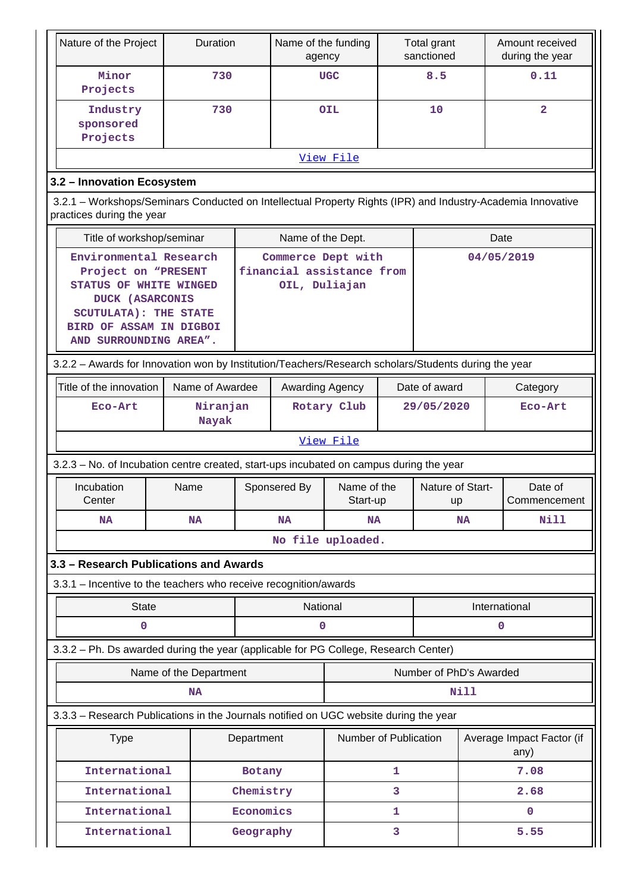| Nature of the Project                                                                                                                                                                  | Duration               |            | Name of the funding<br>agency                                    |                         |   | Total grant<br>sanctioned |           | Amount received<br>during the year |  |
|----------------------------------------------------------------------------------------------------------------------------------------------------------------------------------------|------------------------|------------|------------------------------------------------------------------|-------------------------|---|---------------------------|-----------|------------------------------------|--|
| Minor<br>Projects                                                                                                                                                                      | 730                    |            |                                                                  | <b>UGC</b>              |   | 8.5                       |           | 0.11                               |  |
| Industry<br>sponsored<br>Projects                                                                                                                                                      | 730                    |            |                                                                  | <b>OIL</b>              |   | 10                        |           | $\overline{2}$                     |  |
|                                                                                                                                                                                        |                        |            |                                                                  | View File               |   |                           |           |                                    |  |
| 3.2 - Innovation Ecosystem                                                                                                                                                             |                        |            |                                                                  |                         |   |                           |           |                                    |  |
| 3.2.1 – Workshops/Seminars Conducted on Intellectual Property Rights (IPR) and Industry-Academia Innovative<br>practices during the year                                               |                        |            |                                                                  |                         |   |                           |           |                                    |  |
| Title of workshop/seminar                                                                                                                                                              |                        |            | Name of the Dept.                                                |                         |   |                           |           | Date                               |  |
| Environmental Research<br>Project on "PRESENT<br>STATUS OF WHITE WINGED<br><b>DUCK (ASARCONIS</b><br><b>SCUTULATA): THE STATE</b><br>BIRD OF ASSAM IN DIGBOI<br>AND SURROUNDING AREA". |                        |            | Commerce Dept with<br>financial assistance from<br>OIL, Duliajan |                         |   |                           |           | 04/05/2019                         |  |
| 3.2.2 - Awards for Innovation won by Institution/Teachers/Research scholars/Students during the year                                                                                   |                        |            |                                                                  |                         |   |                           |           |                                    |  |
| Title of the innovation                                                                                                                                                                | Name of Awardee        |            | Awarding Agency                                                  |                         |   | Date of award             |           | Category                           |  |
| Eco-Art                                                                                                                                                                                | Niranjan<br>Nayak      |            | Rotary Club                                                      |                         |   | 29/05/2020                |           | Eco-Art                            |  |
|                                                                                                                                                                                        |                        |            |                                                                  | View File               |   |                           |           |                                    |  |
| 3.2.3 - No. of Incubation centre created, start-ups incubated on campus during the year                                                                                                |                        |            |                                                                  |                         |   |                           |           |                                    |  |
| Incubation<br>Center                                                                                                                                                                   | Name                   |            | Sponsered By                                                     | Name of the<br>Start-up |   | Nature of Start-<br>up    |           | Date of<br>Commencement            |  |
| <b>NA</b>                                                                                                                                                                              | <b>NA</b>              |            | <b>NA</b>                                                        | <b>NA</b>               |   |                           | <b>NA</b> | Nill                               |  |
|                                                                                                                                                                                        |                        |            |                                                                  | No file uploaded.       |   |                           |           |                                    |  |
| 3.3 - Research Publications and Awards                                                                                                                                                 |                        |            |                                                                  |                         |   |                           |           |                                    |  |
| 3.3.1 - Incentive to the teachers who receive recognition/awards                                                                                                                       |                        |            |                                                                  |                         |   |                           |           |                                    |  |
| <b>State</b>                                                                                                                                                                           |                        |            | National                                                         |                         |   |                           |           | International                      |  |
| $\mathbf 0$                                                                                                                                                                            |                        |            | 0                                                                |                         |   |                           |           | 0                                  |  |
| 3.3.2 - Ph. Ds awarded during the year (applicable for PG College, Research Center)                                                                                                    |                        |            |                                                                  |                         |   |                           |           |                                    |  |
|                                                                                                                                                                                        | Name of the Department |            |                                                                  |                         |   | Number of PhD's Awarded   |           |                                    |  |
|                                                                                                                                                                                        | <b>NA</b>              |            |                                                                  |                         |   | Nill                      |           |                                    |  |
| 3.3.3 - Research Publications in the Journals notified on UGC website during the year                                                                                                  |                        |            |                                                                  |                         |   |                           |           |                                    |  |
| <b>Type</b>                                                                                                                                                                            |                        | Department |                                                                  | Number of Publication   |   |                           |           | Average Impact Factor (if<br>any)  |  |
| International                                                                                                                                                                          |                        | Botany     |                                                                  |                         | 1 |                           |           | 7.08                               |  |
| International                                                                                                                                                                          |                        | Chemistry  |                                                                  |                         | 3 |                           |           | 2.68                               |  |
| International                                                                                                                                                                          |                        | Economics  |                                                                  |                         | 1 |                           |           | $\mathbf{O}$                       |  |
| International                                                                                                                                                                          |                        | Geography  |                                                                  |                         | 3 |                           |           | 5.55                               |  |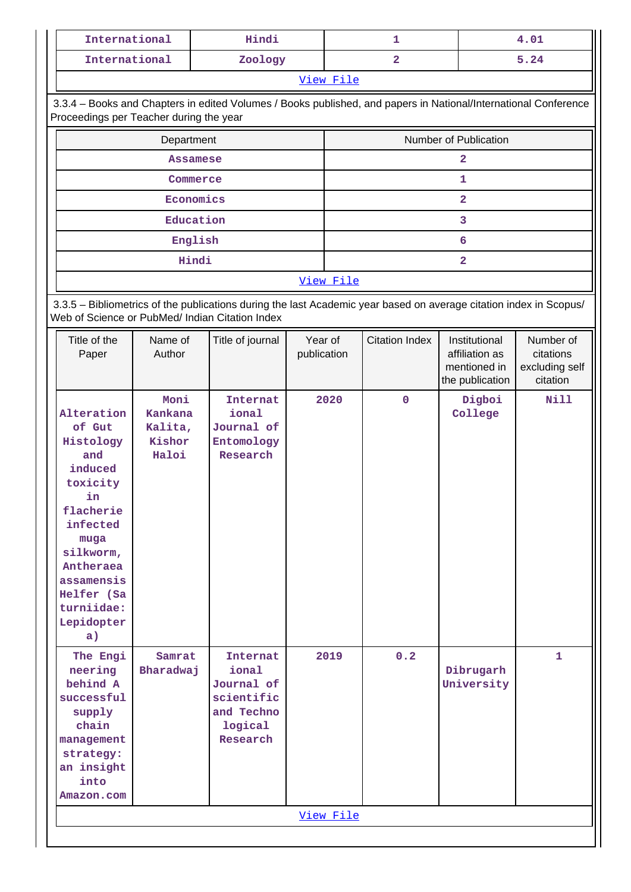|                                                                                                                                                                                                | Hindi<br>International                               |                                                                  |                        |           | 1                     |                                                                    | 4.01                                                 |  |  |  |
|------------------------------------------------------------------------------------------------------------------------------------------------------------------------------------------------|------------------------------------------------------|------------------------------------------------------------------|------------------------|-----------|-----------------------|--------------------------------------------------------------------|------------------------------------------------------|--|--|--|
| International                                                                                                                                                                                  |                                                      | Zoology                                                          |                        |           | $\overline{2}$        |                                                                    | 5.24                                                 |  |  |  |
|                                                                                                                                                                                                |                                                      |                                                                  |                        | View File |                       |                                                                    |                                                      |  |  |  |
|                                                                                                                                                                                                |                                                      |                                                                  |                        |           |                       |                                                                    |                                                      |  |  |  |
| 3.3.4 - Books and Chapters in edited Volumes / Books published, and papers in National/International Conference<br>Proceedings per Teacher during the year                                     |                                                      |                                                                  |                        |           |                       |                                                                    |                                                      |  |  |  |
|                                                                                                                                                                                                | Department                                           |                                                                  |                        |           |                       | Number of Publication                                              |                                                      |  |  |  |
|                                                                                                                                                                                                | <b>Assamese</b>                                      |                                                                  |                        |           |                       | $\mathbf{2}$                                                       |                                                      |  |  |  |
|                                                                                                                                                                                                | Commerce                                             |                                                                  |                        |           |                       | 1                                                                  |                                                      |  |  |  |
|                                                                                                                                                                                                | Economics                                            |                                                                  |                        |           |                       | $\mathbf{2}$                                                       |                                                      |  |  |  |
|                                                                                                                                                                                                | Education                                            |                                                                  |                        |           |                       | 3                                                                  |                                                      |  |  |  |
|                                                                                                                                                                                                | English                                              |                                                                  |                        |           |                       | 6                                                                  |                                                      |  |  |  |
|                                                                                                                                                                                                |                                                      |                                                                  |                        |           |                       |                                                                    |                                                      |  |  |  |
|                                                                                                                                                                                                | Hindi<br>$\mathbf{2}$                                |                                                                  |                        |           |                       |                                                                    |                                                      |  |  |  |
| View File                                                                                                                                                                                      |                                                      |                                                                  |                        |           |                       |                                                                    |                                                      |  |  |  |
| 3.3.5 - Bibliometrics of the publications during the last Academic year based on average citation index in Scopus/<br>Web of Science or PubMed/ Indian Citation Index                          |                                                      |                                                                  |                        |           |                       |                                                                    |                                                      |  |  |  |
| Title of the<br>Paper                                                                                                                                                                          | Name of<br>Author                                    | Title of journal                                                 | Year of<br>publication |           | <b>Citation Index</b> | Institutional<br>affiliation as<br>mentioned in<br>the publication | Number of<br>citations<br>excluding self<br>citation |  |  |  |
| Alteration<br>of Gut<br>Histology<br>and<br>induced<br>toxicity<br>in<br>flacherie<br>infected<br>muga<br>silkworm,<br>Antheraea<br>assamensis<br>Helfer (Sa<br>turniidae:<br>Lepidopter<br>a) | Moni<br><b>Kankana</b><br>Kalita,<br>Kishor<br>Haloi | <b>Internat</b><br>ional<br>Journal of<br>Entomology<br>Research |                        | 2020      | $\mathbf 0$           | Digboi<br>College                                                  | <b>Nill</b>                                          |  |  |  |
| The Engi<br>neering<br>behind A<br>successful<br>supply                                                                                                                                        | Samrat<br>Bharadwaj                                  | Internat<br>ional<br>Journal of<br>scientific<br>and Techno      |                        | 2019      | 0.2                   | Dibrugarh<br>University                                            | $\mathbf{1}$                                         |  |  |  |

[View File](https://assessmentonline.naac.gov.in/public/Postacc/Bibliometrics/12934_Bibliometrics_1629995001.xlsx)

**logical Research**

**chain management strategy: an insight into Amazon.com**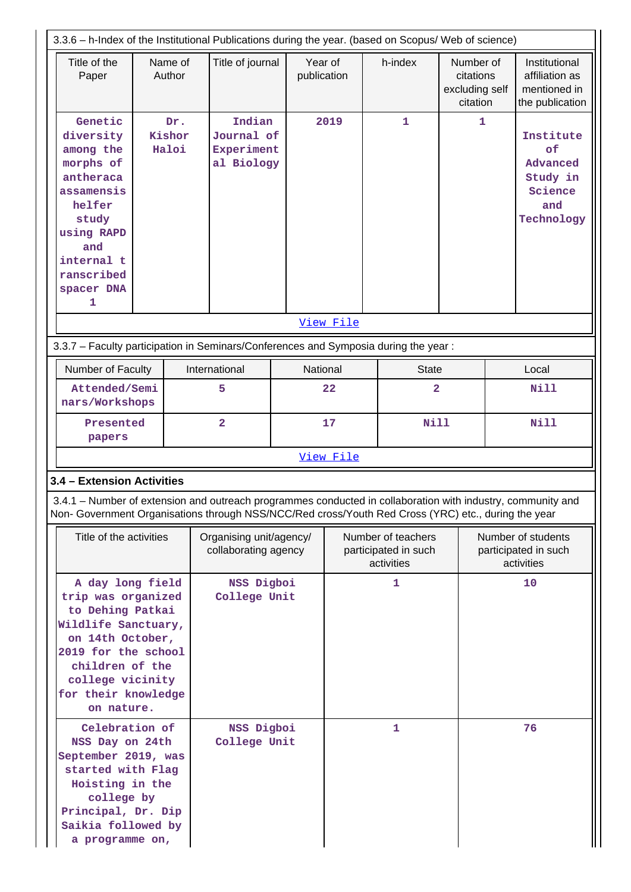| 3.3.6 - h-Index of the Institutional Publications during the year. (based on Scopus/ Web of science)                                                                                                                                          |                        |  |                                                          |          |                                                          |  |                         |                                                      |                                                          |                                                                         |
|-----------------------------------------------------------------------------------------------------------------------------------------------------------------------------------------------------------------------------------------------|------------------------|--|----------------------------------------------------------|----------|----------------------------------------------------------|--|-------------------------|------------------------------------------------------|----------------------------------------------------------|-------------------------------------------------------------------------|
| Title of the<br>Paper                                                                                                                                                                                                                         | Name of<br>Author      |  | Title of journal                                         |          | Year of<br>publication                                   |  | h-index                 | Number of<br>citations<br>excluding self<br>citation |                                                          | Institutional<br>affiliation as<br>mentioned in<br>the publication      |
| Genetic<br>diversity<br>among the<br>morphs of<br>antheraca<br>assamensis<br>helfer<br>study<br>using RAPD<br>and<br>internal t<br>ranscribed<br>spacer DNA<br>1                                                                              | Dr.<br>Kishor<br>Haloi |  | Indian<br>Journal of<br>Experiment<br>al Biology         |          | 2019                                                     |  | $\mathbf{1}$            | $\mathbf{1}$                                         |                                                          | Institute<br>оf<br>Advanced<br>Study in<br>Science<br>and<br>Technology |
|                                                                                                                                                                                                                                               |                        |  |                                                          |          | View File                                                |  |                         |                                                      |                                                          |                                                                         |
| 3.3.7 - Faculty participation in Seminars/Conferences and Symposia during the year:                                                                                                                                                           |                        |  |                                                          |          |                                                          |  |                         |                                                      |                                                          |                                                                         |
| Number of Faculty                                                                                                                                                                                                                             |                        |  | International                                            | National |                                                          |  | <b>State</b>            |                                                      | Local                                                    |                                                                         |
| Attended/Semi<br>nars/Workshops                                                                                                                                                                                                               |                        |  | 5<br>22                                                  |          |                                                          |  | $\overline{\mathbf{2}}$ |                                                      | <b>Nill</b>                                              |                                                                         |
| Presented<br>papers                                                                                                                                                                                                                           |                        |  | $\overline{\mathbf{2}}$                                  | 17       |                                                          |  | <b>Nill</b>             |                                                      |                                                          | <b>Nill</b>                                                             |
|                                                                                                                                                                                                                                               |                        |  |                                                          |          | View File                                                |  |                         |                                                      |                                                          |                                                                         |
| 3.4 - Extension Activities                                                                                                                                                                                                                    |                        |  |                                                          |          |                                                          |  |                         |                                                      |                                                          |                                                                         |
| 3.4.1 – Number of extension and outreach programmes conducted in collaboration with industry, community and<br>Non- Government Organisations through NSS/NCC/Red cross/Youth Red Cross (YRC) etc., during the year                            |                        |  |                                                          |          |                                                          |  |                         |                                                      |                                                          |                                                                         |
| Title of the activities                                                                                                                                                                                                                       |                        |  | Organising unit/agency/<br>collaborating agency          |          | Number of teachers<br>participated in such<br>activities |  |                         |                                                      | Number of students<br>participated in such<br>activities |                                                                         |
| A day long field<br>trip was organized<br>to Dehing Patkai<br>Wildlife Sanctuary,<br>on 14th October,<br>2019 for the school<br>children of the<br>college vicinity<br>for their knowledge<br>on nature.<br>Celebration of<br>NSS Day on 24th |                        |  | NSS Digboi<br>College Unit<br>NSS Digboi<br>College Unit |          |                                                          |  | 1<br>1                  |                                                      | 10<br>76                                                 |                                                                         |
| September 2019, was<br>started with Flag<br>Hoisting in the<br>college by<br>Principal, Dr. Dip<br>Saikia followed by<br>a programme on,                                                                                                      |                        |  |                                                          |          |                                                          |  |                         |                                                      |                                                          |                                                                         |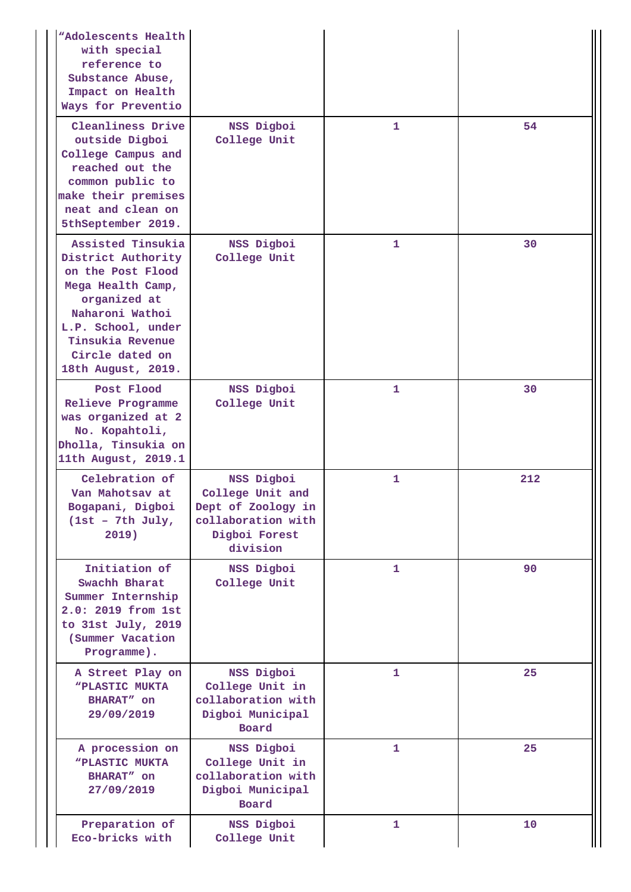| "Adolescents Health<br>with special<br>reference to<br>Substance Abuse,<br>Impact on Health<br>Ways for Preventio                                                                                       |                                                                                                         |              |     |
|---------------------------------------------------------------------------------------------------------------------------------------------------------------------------------------------------------|---------------------------------------------------------------------------------------------------------|--------------|-----|
| Cleanliness Drive<br>outside Digboi<br>College Campus and<br>reached out the<br>common public to<br>make their premises<br>neat and clean on<br>5thSeptember 2019.                                      | NSS Digboi<br>College Unit                                                                              | 1            | 54  |
| Assisted Tinsukia<br>District Authority<br>on the Post Flood<br>Mega Health Camp,<br>organized at<br>Naharoni Wathoi<br>L.P. School, under<br>Tinsukia Revenue<br>Circle dated on<br>18th August, 2019. | NSS Digboi<br>College Unit                                                                              | $\mathbf{1}$ | 30  |
| Post Flood<br>Relieve Programme<br>was organized at 2<br>No. Kopahtoli,<br>Dholla, Tinsukia on<br>11th August, 2019.1                                                                                   | NSS Digboi<br>College Unit                                                                              | 1            | 30  |
| Celebration of<br>Van Mahotsav at<br>Bogapani, Digboi<br>$(1st - 7th July,$<br>2019)                                                                                                                    | NSS Digboi<br>College Unit and<br>Dept of Zoology in<br>collaboration with<br>Digboi Forest<br>division | 1            | 212 |
| Initiation of<br>Swachh Bharat<br>Summer Internship<br>2.0: 2019 from 1st<br>to $31st$ July, $2019$<br>(Summer Vacation<br>Programme).                                                                  | NSS Digboi<br>College Unit                                                                              | 1            | 90  |
| A Street Play on<br><b>"PLASTIC MUKTA</b><br>BHARAT" on<br>29/09/2019                                                                                                                                   | NSS Digboi<br>College Unit in<br>collaboration with<br>Digboi Municipal<br>Board                        | $\mathbf{1}$ | 25  |
| A procession on<br><b>"PLASTIC MUKTA</b><br>BHARAT" on<br>27/09/2019                                                                                                                                    | NSS Digboi<br>College Unit in<br>collaboration with<br>Digboi Municipal<br>Board                        | $\mathbf{1}$ | 25  |
| Preparation of<br>Eco-bricks with                                                                                                                                                                       | NSS Digboi<br>College Unit                                                                              | $\mathbf{1}$ | 10  |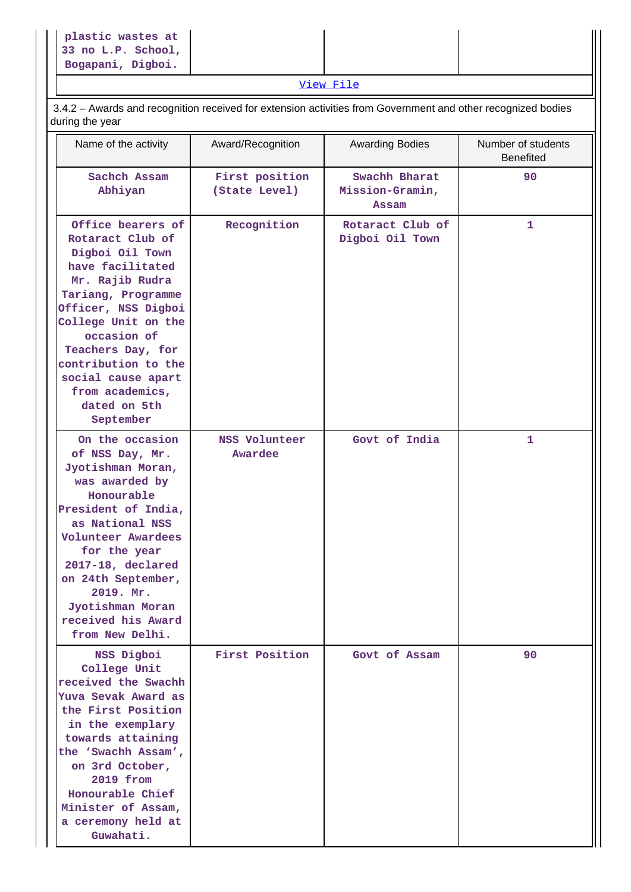|--|

[View File](https://assessmentonline.naac.gov.in/public/Postacc/Extension/12934_Extension_1630399474.xlsx)

 3.4.2 – Awards and recognition received for extension activities from Government and other recognized bodies during the year

| Name of the activity                                                                                                                                                                                                                                                                                 | Award/Recognition               | <b>Awarding Bodies</b>                    | Number of students<br><b>Benefited</b> |
|------------------------------------------------------------------------------------------------------------------------------------------------------------------------------------------------------------------------------------------------------------------------------------------------------|---------------------------------|-------------------------------------------|----------------------------------------|
| Sachch Assam<br>Abhiyan                                                                                                                                                                                                                                                                              | First position<br>(State Level) | Swachh Bharat<br>Mission-Gramin,<br>Assam | 90                                     |
| Office bearers of<br>Rotaract Club of<br>Digboi Oil Town<br>have facilitated<br>Mr. Rajib Rudra<br>Tariang, Programme<br>Officer, NSS Digboi<br>College Unit on the<br>occasion of<br>Teachers Day, for<br>contribution to the<br>social cause apart<br>from academics,<br>dated on 5th<br>September | Recognition                     | Rotaract Club of<br>Digboi Oil Town       | $\mathbf{1}$                           |
| On the occasion<br>of NSS Day, Mr.<br>Jyotishman Moran,<br>was awarded by<br>Honourable<br>President of India,<br>as National NSS<br>Volunteer Awardees<br>for the year<br>2017-18, declared<br>on 24th September,<br>2019. Mr.<br>Jyotishman Moran<br>received his Award<br>from New Delhi.         | NSS Volunteer<br>Awardee        | Govt of India                             | 1                                      |
| NSS Digboi<br>College Unit<br>received the Swachh<br>Yuva Sevak Award as<br>the First Position<br>in the exemplary<br>towards attaining<br>the 'Swachh Assam',<br>on 3rd October,<br>2019 from<br>Honourable Chief<br>Minister of Assam,<br>a ceremony held at<br>Guwahati.                          | First Position                  | Govt of Assam                             | 90                                     |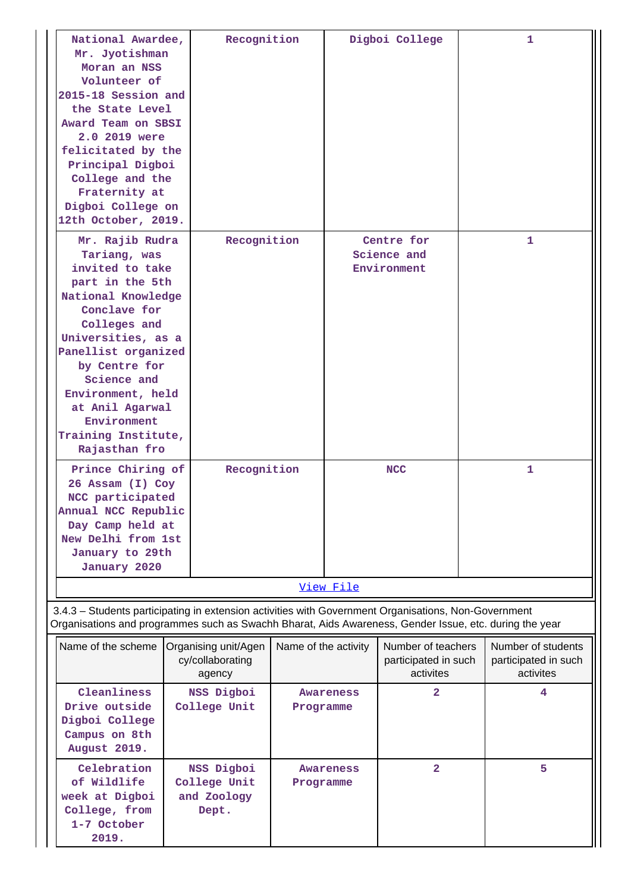| National Awardee,<br>Mr. Jyotishman<br>Moran an NSS<br>Volunteer of<br>2015-18 Session and<br>the State Level<br>Award Team on SBSI<br>2.0 2019 were<br>felicitated by the<br>Principal Digboi<br>College and the<br>Fraternity at<br>Digboi College on<br>12th October, 2019.       | Recognition                                        |                        |           | Digboi College                                          | 1                                                       |
|--------------------------------------------------------------------------------------------------------------------------------------------------------------------------------------------------------------------------------------------------------------------------------------|----------------------------------------------------|------------------------|-----------|---------------------------------------------------------|---------------------------------------------------------|
| Tariang, was<br>invited to take<br>part in the 5th<br>National Knowledge<br>Conclave for<br>Colleges and<br>Universities, as a<br>Panellist organized<br>by Centre for<br>Science and<br>Environment, held<br>at Anil Agarwal<br>Environment<br>Training Institute,<br>Rajasthan fro | Recognition<br>Mr. Rajib Rudra                     |                        |           | Centre for<br>Science and<br>Environment                | 1                                                       |
| Prince Chiring of<br>26 Assam (I) Coy<br>NCC participated<br>Annual NCC Republic<br>Day Camp held at<br>New Delhi from 1st<br>January to 29th<br>January 2020                                                                                                                        | Recognition                                        |                        |           | <b>NCC</b>                                              | $\mathbf{1}$                                            |
| 3.4.3 - Students participating in extension activities with Government Organisations, Non-Government                                                                                                                                                                                 |                                                    |                        | View File |                                                         |                                                         |
| Organisations and programmes such as Swachh Bharat, Aids Awareness, Gender Issue, etc. during the year                                                                                                                                                                               |                                                    |                        |           |                                                         |                                                         |
| Name of the scheme                                                                                                                                                                                                                                                                   | Organising unit/Agen<br>cy/collaborating<br>agency | Name of the activity   |           | Number of teachers<br>participated in such<br>activites | Number of students<br>participated in such<br>activites |
| Cleanliness<br>Drive outside<br>Digboi College<br>Campus on 8th<br>August 2019.                                                                                                                                                                                                      | NSS Digboi<br>College Unit                         | Awareness<br>Programme |           | $\mathbf{2}$                                            | 4                                                       |
| Celebration<br>of Wildlife<br>week at Digboi<br>College, from<br>1-7 October<br>2019.                                                                                                                                                                                                | NSS Digboi<br>College Unit<br>and Zoology<br>Dept. | Programme              | Awareness | $\overline{\mathbf{2}}$                                 | 5                                                       |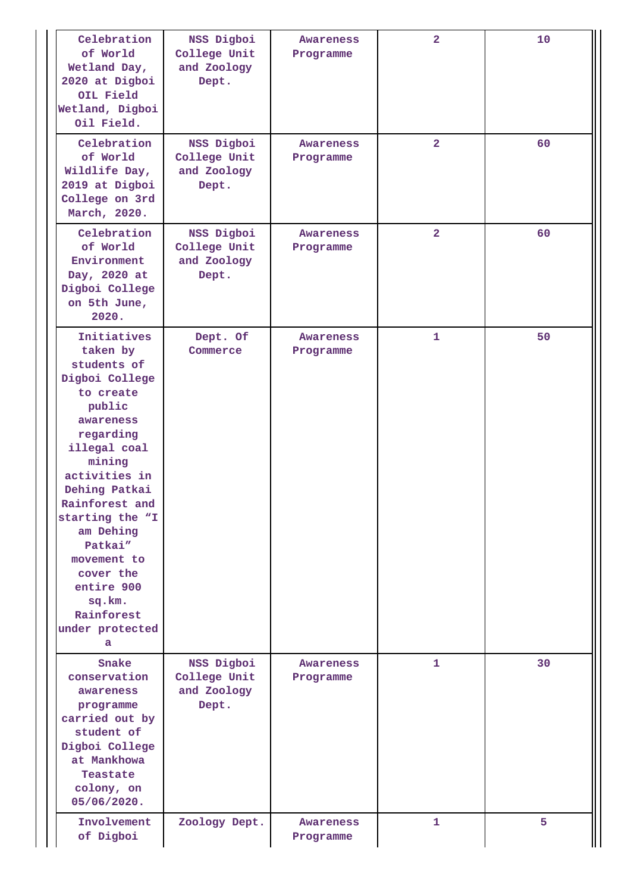| Celebration<br>of World<br>Wetland Day,<br>2020 at Digboi<br>OIL Field<br>Wetland, Digboi<br>Oil Field.                                                                                                                                                                                                                      | NSS Digboi<br>College Unit<br>and Zoology<br>Dept. | Awareness<br>Programme        | $\overline{\mathbf{2}}$ | 10 |
|------------------------------------------------------------------------------------------------------------------------------------------------------------------------------------------------------------------------------------------------------------------------------------------------------------------------------|----------------------------------------------------|-------------------------------|-------------------------|----|
| Celebration<br>of World<br>Wildlife Day,<br>2019 at Digboi<br>College on 3rd<br>March, 2020.                                                                                                                                                                                                                                 | NSS Digboi<br>College Unit<br>and Zoology<br>Dept. | <b>Awareness</b><br>Programme | $\overline{2}$          | 60 |
| Celebration<br>of World<br>Environment<br>Day, 2020 at<br>Digboi College<br>on 5th June,<br>2020.                                                                                                                                                                                                                            | NSS Digboi<br>College Unit<br>and Zoology<br>Dept. | <b>Awareness</b><br>Programme | $\overline{2}$          | 60 |
| Initiatives<br>taken by<br>students of<br>Digboi College<br>to create<br>public<br>awareness<br>regarding<br>illegal coal<br>mining<br>activities in<br>Dehing Patkai<br>Rainforest and<br>starting the "I<br>am Dehing<br>Patkai"<br>movement to<br>cover the<br>entire 900<br>sq.km.<br>Rainforest<br>under protected<br>а | Dept. Of<br>Commerce                               | Awareness<br>Programme        | 1                       | 50 |
| Snake<br>conservation<br>awareness<br>programme<br>carried out by<br>student of<br>Digboi College<br>at Mankhowa<br>Teastate<br>colony, on<br>05/06/2020.                                                                                                                                                                    | NSS Digboi<br>College Unit<br>and Zoology<br>Dept. | Awareness<br>Programme        | $\mathbf{1}$            | 30 |
| Involvement<br>of Digboi                                                                                                                                                                                                                                                                                                     | Zoology Dept.                                      | Awareness<br>Programme        | 1                       | 5  |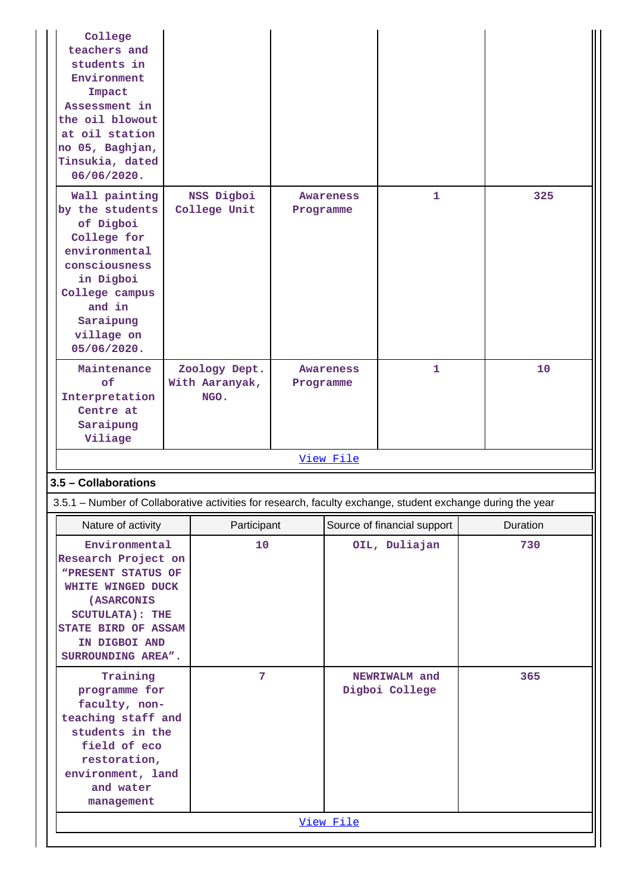| College<br>teachers and<br>students in<br>Environment<br>Impact<br>Assessment in<br>the oil blowout<br>at oil station<br>no 05, Baghjan,<br>Tinsukia, dated<br>06/06/2020.                   |                                         |             |                               |           |                                 |          |     |  |
|----------------------------------------------------------------------------------------------------------------------------------------------------------------------------------------------|-----------------------------------------|-------------|-------------------------------|-----------|---------------------------------|----------|-----|--|
| Wall painting<br>by the students<br>of Digboi<br>College for<br>environmental<br>consciousness<br>in Digboi<br>College campus<br>and in<br>Saraipung<br>village on<br>05/06/2020.            | NSS Digboi<br>College Unit              |             | Awareness<br>Programme        |           | 1                               |          | 325 |  |
| Maintenance<br>of<br>Interpretation<br>Centre at<br>Saraipung<br>Viliage                                                                                                                     | Zoology Dept.<br>With Aaranyak,<br>NGO. |             | <b>Awareness</b><br>Programme |           | $\mathbf{1}$                    |          | 10  |  |
|                                                                                                                                                                                              |                                         |             |                               | View File |                                 |          |     |  |
| 3.5 - Collaborations                                                                                                                                                                         |                                         |             |                               |           |                                 |          |     |  |
| 3.5.1 – Number of Collaborative activities for research, faculty exchange, student exchange during the year                                                                                  |                                         |             |                               |           |                                 |          |     |  |
| Nature of activity                                                                                                                                                                           |                                         | Participant |                               |           | Source of financial support     | Duration |     |  |
| Environmental<br>Research Project on<br>"PRESENT STATUS OF<br>WHITE WINGED DUCK<br><b>(ASARCONIS</b><br><b>SCUTULATA): THE</b><br>STATE BIRD OF ASSAM<br>IN DIGBOI AND<br>SURROUNDING AREA". |                                         | 10          |                               |           | OIL, Duliajan                   |          | 730 |  |
| Training<br>programme for<br>faculty, non-<br>teaching staff and<br>students in the<br>field of eco<br>restoration,<br>environment, land<br>and water<br>management                          |                                         | 7           |                               |           | NEWRIWALM and<br>Digboi College |          | 365 |  |
|                                                                                                                                                                                              |                                         |             |                               | View File |                                 |          |     |  |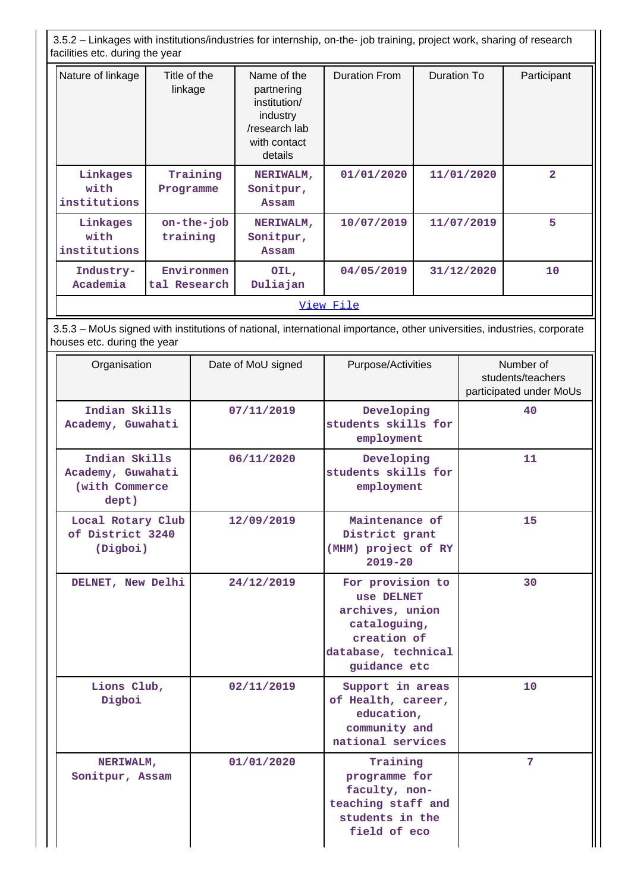3.5.2 – Linkages with institutions/industries for internship, on-the- job training, project work, sharing of research facilities etc. during the year

| Nature of linkage                | Title of the<br>linkage    | Name of the<br>partnering<br>institution/<br>industry<br>/research lab<br>with contact<br>details | <b>Duration From</b> | Duration To | Participant    |
|----------------------------------|----------------------------|---------------------------------------------------------------------------------------------------|----------------------|-------------|----------------|
| Linkages<br>with<br>institutions | Training<br>Programme      | NERIWALM,<br>Sonitpur,<br>Assam                                                                   | 01/01/2020           | 11/01/2020  | $\overline{2}$ |
| Linkages<br>with<br>institutions | $on$ -the-job<br>training  | NERIWALM,<br>Sonitpur,<br>Assam                                                                   | 10/07/2019           | 11/07/2019  | 5              |
| Industry-<br>Academia            | Environmen<br>tal Research | OIL,<br>Duliajan                                                                                  | 04/05/2019           | 31/12/2020  | 10             |
| View File                        |                            |                                                                                                   |                      |             |                |

 3.5.3 – MoUs signed with institutions of national, international importance, other universities, industries, corporate houses etc. during the year

| Organisation                                                  | Date of MoU signed | Purpose/Activities                                                                                                      | Number of<br>students/teachers<br>participated under MoUs |
|---------------------------------------------------------------|--------------------|-------------------------------------------------------------------------------------------------------------------------|-----------------------------------------------------------|
| Indian Skills<br>Academy, Guwahati                            | 07/11/2019         | Developing<br>students skills for<br>employment                                                                         | 40                                                        |
| Indian Skills<br>Academy, Guwahati<br>(with Commerce<br>dept) | 06/11/2020         | Developing<br>students skills for<br>employment                                                                         | 11                                                        |
| Local Rotary Club<br>of District 3240<br>(Digboi)             | 12/09/2019         | Maintenance of<br>District grant<br>(MHM) project of RY<br>$2019 - 20$                                                  | 15                                                        |
| DELNET, New Delhi                                             | 24/12/2019         | For provision to<br>use DELNET<br>archives, union<br>cataloguing,<br>creation of<br>database, technical<br>guidance etc | 30                                                        |
| Lions Club,<br>Digboi                                         | 02/11/2019         | Support in areas<br>of Health, career,<br>education,<br>community and<br>national services                              | 10                                                        |
| NERIWALM,<br>Sonitpur, Assam                                  | 01/01/2020         | Training<br>programme for<br>faculty, non-<br>teaching staff and<br>students in the<br>field of eco                     | 7                                                         |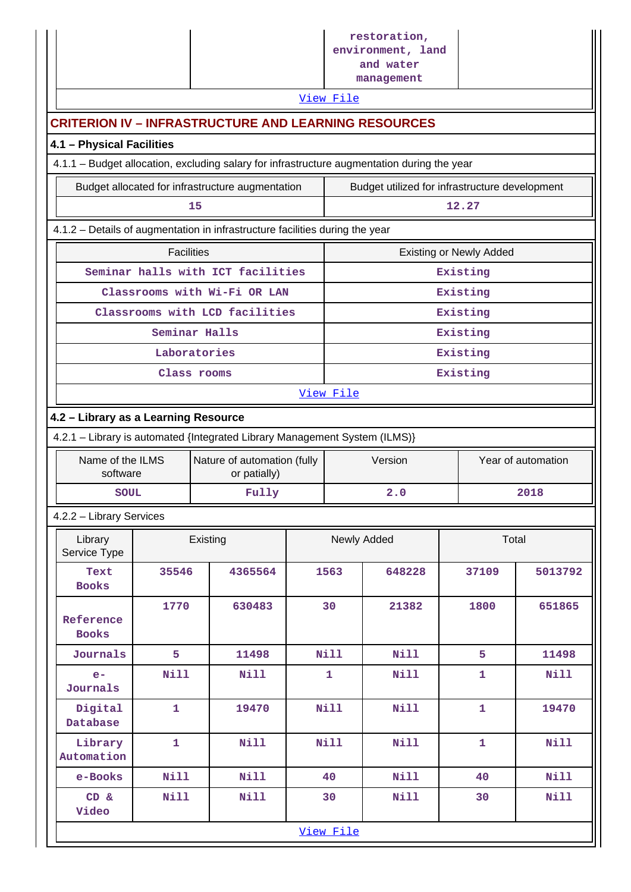|                                                                                             |                                                                                                                    |          |                                                  |  |              | restoration,<br>environment, land<br>and water<br>management |                                |                    |  |
|---------------------------------------------------------------------------------------------|--------------------------------------------------------------------------------------------------------------------|----------|--------------------------------------------------|--|--------------|--------------------------------------------------------------|--------------------------------|--------------------|--|
| View File<br><b>CRITERION IV - INFRASTRUCTURE AND LEARNING RESOURCES</b>                    |                                                                                                                    |          |                                                  |  |              |                                                              |                                |                    |  |
| 4.1 - Physical Facilities                                                                   |                                                                                                                    |          |                                                  |  |              |                                                              |                                |                    |  |
| 4.1.1 - Budget allocation, excluding salary for infrastructure augmentation during the year |                                                                                                                    |          |                                                  |  |              |                                                              |                                |                    |  |
|                                                                                             |                                                                                                                    |          | Budget allocated for infrastructure augmentation |  |              | Budget utilized for infrastructure development               |                                |                    |  |
|                                                                                             |                                                                                                                    | 15       |                                                  |  |              |                                                              | 12.27                          |                    |  |
| 4.1.2 - Details of augmentation in infrastructure facilities during the year                |                                                                                                                    |          |                                                  |  |              |                                                              |                                |                    |  |
|                                                                                             | <b>Facilities</b>                                                                                                  |          |                                                  |  |              |                                                              | <b>Existing or Newly Added</b> |                    |  |
|                                                                                             |                                                                                                                    |          | Seminar halls with ICT facilities                |  |              |                                                              | Existing                       |                    |  |
|                                                                                             |                                                                                                                    |          | Classrooms with Wi-Fi OR LAN                     |  |              |                                                              | Existing                       |                    |  |
|                                                                                             |                                                                                                                    |          | Classrooms with LCD facilities                   |  |              |                                                              | Existing                       |                    |  |
|                                                                                             | Seminar Halls                                                                                                      |          |                                                  |  |              |                                                              | Existing                       |                    |  |
|                                                                                             | Laboratories                                                                                                       |          |                                                  |  |              |                                                              | Existing                       |                    |  |
|                                                                                             | Class rooms                                                                                                        |          |                                                  |  | Existing     |                                                              |                                |                    |  |
| View File                                                                                   |                                                                                                                    |          |                                                  |  |              |                                                              |                                |                    |  |
|                                                                                             | 4.2 - Library as a Learning Resource<br>4.2.1 - Library is automated {Integrated Library Management System (ILMS)} |          |                                                  |  |              |                                                              |                                |                    |  |
| Name of the ILMS                                                                            |                                                                                                                    |          | Nature of automation (fully                      |  |              | Version                                                      |                                | Year of automation |  |
| software                                                                                    |                                                                                                                    |          | or patially)                                     |  |              |                                                              |                                |                    |  |
| <b>SOUL</b>                                                                                 |                                                                                                                    |          | Fully                                            |  | 2.0          |                                                              |                                | 2018               |  |
| 4.2.2 - Library Services                                                                    |                                                                                                                    |          |                                                  |  |              |                                                              |                                |                    |  |
| Library<br>Service Type                                                                     |                                                                                                                    | Existing |                                                  |  | Newly Added  |                                                              | Total                          |                    |  |
| Text<br><b>Books</b>                                                                        | 35546                                                                                                              |          | 4365564                                          |  | 1563         | 648228                                                       | 37109                          | 5013792            |  |
| Reference<br><b>Books</b>                                                                   | 1770                                                                                                               |          | 630483                                           |  | 30           | 21382                                                        | 1800                           | 651865             |  |
| Journals                                                                                    | 5                                                                                                                  |          | 11498                                            |  | <b>Nill</b>  | <b>Nill</b>                                                  | 5                              | 11498              |  |
| $e-$<br>Journals                                                                            | <b>Nill</b>                                                                                                        |          | Nill                                             |  | $\mathbf{1}$ | Nill                                                         | $\mathbf{1}$                   | <b>Nill</b>        |  |
| Digital<br>Database                                                                         | $\mathbf{1}$                                                                                                       |          | 19470                                            |  | Nill         | <b>Nill</b>                                                  | $\mathbf{1}$                   | 19470              |  |
| Library<br>Automation                                                                       | $\mathbf{1}$                                                                                                       |          | <b>Nill</b>                                      |  | Nill         | <b>Nill</b>                                                  | $\mathbf{1}$                   | <b>Nill</b>        |  |
| e-Books                                                                                     | <b>Nill</b>                                                                                                        |          | <b>Nill</b>                                      |  | 40           | <b>Nill</b>                                                  | 40                             | <b>Nill</b>        |  |
| CD &<br>Video                                                                               | <b>Nill</b>                                                                                                        |          | <b>Nill</b>                                      |  | 30           | <b>Nill</b>                                                  | 30                             | <b>Nill</b>        |  |
|                                                                                             |                                                                                                                    |          |                                                  |  | View File    |                                                              |                                |                    |  |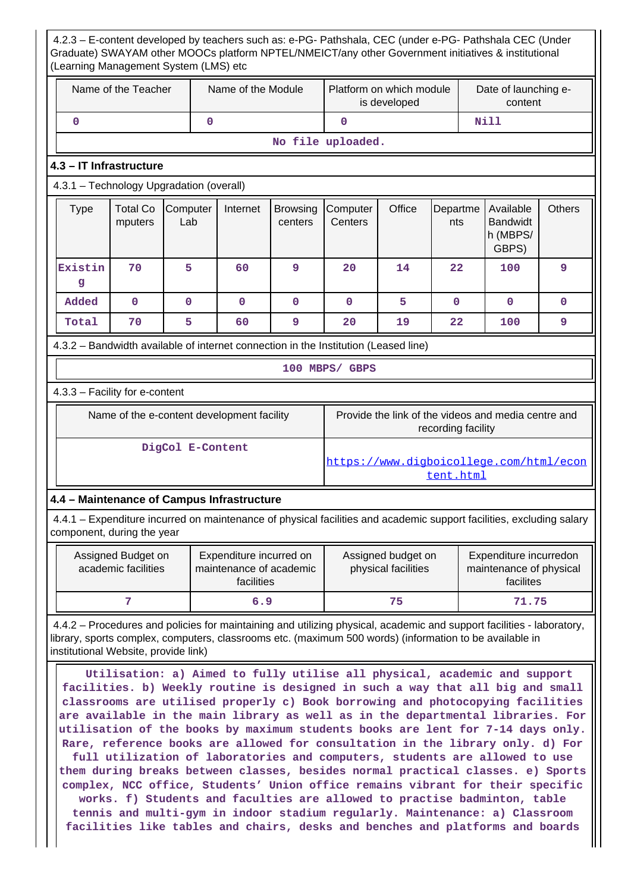| Name of the Teacher |                                           |                 | Name of the Module                                               | Platform on which module   | is developed                                                                        |        | Date of launching e-<br>content                                                                                                                                                                                                                                                                                                                                                                                                                                                                                                                                                                                                                                                                                                                           |                                                   |               |
|---------------------|-------------------------------------------|-----------------|------------------------------------------------------------------|----------------------------|-------------------------------------------------------------------------------------|--------|-----------------------------------------------------------------------------------------------------------------------------------------------------------------------------------------------------------------------------------------------------------------------------------------------------------------------------------------------------------------------------------------------------------------------------------------------------------------------------------------------------------------------------------------------------------------------------------------------------------------------------------------------------------------------------------------------------------------------------------------------------------|---------------------------------------------------|---------------|
| $\mathbf 0$         |                                           | $\mathbf 0$     |                                                                  |                            | $\mathbf 0$                                                                         |        |                                                                                                                                                                                                                                                                                                                                                                                                                                                                                                                                                                                                                                                                                                                                                           | <b>Nill</b>                                       |               |
|                     |                                           |                 |                                                                  |                            | No file uploaded.                                                                   |        |                                                                                                                                                                                                                                                                                                                                                                                                                                                                                                                                                                                                                                                                                                                                                           |                                                   |               |
|                     | 4.3 - IT Infrastructure                   |                 |                                                                  |                            |                                                                                     |        |                                                                                                                                                                                                                                                                                                                                                                                                                                                                                                                                                                                                                                                                                                                                                           |                                                   |               |
|                     | 4.3.1 - Technology Upgradation (overall)  |                 |                                                                  |                            |                                                                                     |        |                                                                                                                                                                                                                                                                                                                                                                                                                                                                                                                                                                                                                                                                                                                                                           |                                                   |               |
| <b>Type</b>         | <b>Total Co</b><br>mputers                | Computer<br>Lab | Internet                                                         | <b>Browsing</b><br>centers | Computer<br>Centers                                                                 | Office | Departme<br>nts                                                                                                                                                                                                                                                                                                                                                                                                                                                                                                                                                                                                                                                                                                                                           | Available<br><b>Bandwidt</b><br>h (MBPS/<br>GBPS) | <b>Others</b> |
| Existin<br>g        | 70                                        | 5               | 60                                                               | 9                          | 20                                                                                  | 14     | 22                                                                                                                                                                                                                                                                                                                                                                                                                                                                                                                                                                                                                                                                                                                                                        | 100                                               | 9             |
| Added               | $\mathbf 0$                               | $\mathbf 0$     | $\mathbf{0}$                                                     | $\mathbf{0}$               | $\mathbf{0}$                                                                        | 5      | $\mathbf{0}$                                                                                                                                                                                                                                                                                                                                                                                                                                                                                                                                                                                                                                                                                                                                              | $\mathbf{0}$                                      | $\mathbf{0}$  |
| Total               | 70                                        | 5               | 60                                                               | 9                          | 20                                                                                  | 19     | 22                                                                                                                                                                                                                                                                                                                                                                                                                                                                                                                                                                                                                                                                                                                                                        | 100                                               | 9             |
|                     |                                           |                 |                                                                  |                            | 4.3.2 – Bandwidth available of internet connection in the Institution (Leased line) |        |                                                                                                                                                                                                                                                                                                                                                                                                                                                                                                                                                                                                                                                                                                                                                           |                                                   |               |
|                     |                                           |                 |                                                                  |                            | 100 MBPS/ GBPS                                                                      |        |                                                                                                                                                                                                                                                                                                                                                                                                                                                                                                                                                                                                                                                                                                                                                           |                                                   |               |
|                     | 4.3.3 - Facility for e-content            |                 |                                                                  |                            |                                                                                     |        |                                                                                                                                                                                                                                                                                                                                                                                                                                                                                                                                                                                                                                                                                                                                                           |                                                   |               |
|                     |                                           |                 | Name of the e-content development facility                       |                            |                                                                                     |        | Provide the link of the videos and media centre and<br>recording facility                                                                                                                                                                                                                                                                                                                                                                                                                                                                                                                                                                                                                                                                                 |                                                   |               |
| DigCol E-Content    |                                           |                 |                                                                  |                            | https://www.digboicollege.com/html/econ<br>tent.html                                |        |                                                                                                                                                                                                                                                                                                                                                                                                                                                                                                                                                                                                                                                                                                                                                           |                                                   |               |
|                     |                                           |                 | 4.4 - Maintenance of Campus Infrastructure                       |                            |                                                                                     |        |                                                                                                                                                                                                                                                                                                                                                                                                                                                                                                                                                                                                                                                                                                                                                           |                                                   |               |
|                     | component, during the year                |                 |                                                                  |                            |                                                                                     |        | 4.4.1 – Expenditure incurred on maintenance of physical facilities and academic support facilities, excluding salary                                                                                                                                                                                                                                                                                                                                                                                                                                                                                                                                                                                                                                      |                                                   |               |
|                     | Assigned Budget on<br>academic facilities |                 | Expenditure incurred on<br>maintenance of academic<br>facilities |                            | Assigned budget on<br>physical facilities                                           |        | Expenditure incurredon<br>maintenance of physical<br>facilites                                                                                                                                                                                                                                                                                                                                                                                                                                                                                                                                                                                                                                                                                            |                                                   |               |
|                     | 7                                         |                 | 6.9                                                              |                            | 75                                                                                  |        |                                                                                                                                                                                                                                                                                                                                                                                                                                                                                                                                                                                                                                                                                                                                                           | 71.75                                             |               |
|                     | institutional Website, provide link)      |                 |                                                                  |                            |                                                                                     |        | 4.4.2 – Procedures and policies for maintaining and utilizing physical, academic and support facilities - laboratory,<br>library, sports complex, computers, classrooms etc. (maximum 500 words) (information to be available in                                                                                                                                                                                                                                                                                                                                                                                                                                                                                                                          |                                                   |               |
|                     |                                           |                 |                                                                  |                            |                                                                                     |        | Utilisation: a) Aimed to fully utilise all physical, academic and support<br>facilities. b) Weekly routine is designed in such a way that all big and small<br>classrooms are utilised properly c) Book borrowing and photocopying facilities<br>are available in the main library as well as in the departmental libraries. For<br>utilisation of the books by maximum students books are lent for 7-14 days only.<br>Rare, reference books are allowed for consultation in the library only. d) For<br>full utilization of laboratories and computers, students are allowed to use<br>them during breaks between classes, besides normal practical classes. e) Sports<br>complex, NCC office, Students' Union office remains vibrant for their specific |                                                   |               |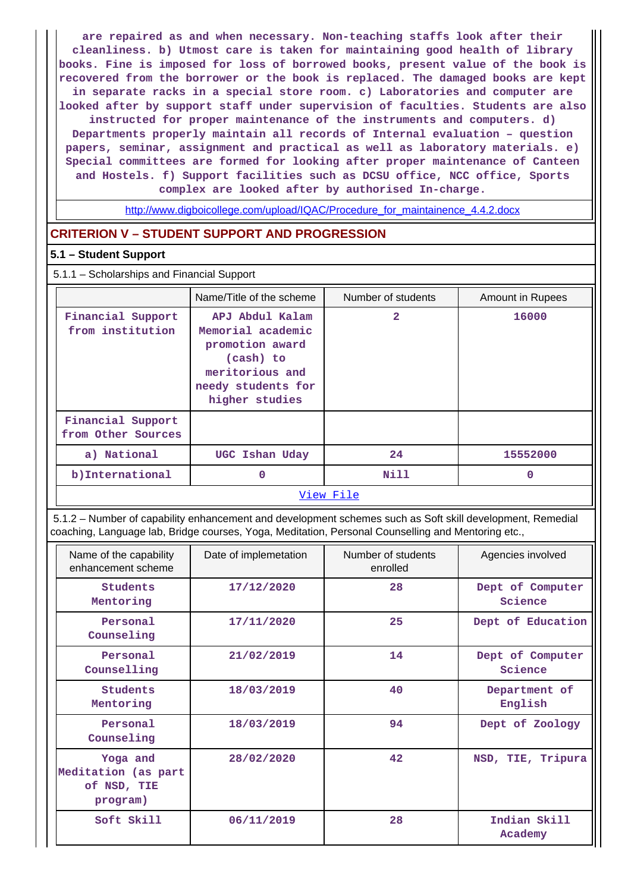**are repaired as and when necessary. Non-teaching staffs look after their cleanliness. b) Utmost care is taken for maintaining good health of library books. Fine is imposed for loss of borrowed books, present value of the book is recovered from the borrower or the book is replaced. The damaged books are kept in separate racks in a special store room. c) Laboratories and computer are looked after by support staff under supervision of faculties. Students are also instructed for proper maintenance of the instruments and computers. d) Departments properly maintain all records of Internal evaluation – question papers, seminar, assignment and practical as well as laboratory materials. e) Special committees are formed for looking after proper maintenance of Canteen and Hostels. f) Support facilities such as DCSU office, NCC office, Sports complex are looked after by authorised In-charge.**

[http://www.digboicollege.com/upload/IQAC/Procedure\\_for\\_maintainence\\_4.4.2.docx](http://www.digboicollege.com/upload/IQAC/Procedure_for_maintainence_4.4.2.docx)

# **CRITERION V – STUDENT SUPPORT AND PROGRESSION**

#### **5.1 – Student Support**

5.1.1 – Scholarships and Financial Support

|                                         | Name/Title of the scheme                                                                                                        | Number of students | Amount in Rupees |  |  |  |  |
|-----------------------------------------|---------------------------------------------------------------------------------------------------------------------------------|--------------------|------------------|--|--|--|--|
| Financial Support<br>from institution   | APJ Abdul Kalam<br>Memorial academic<br>promotion award<br>(cash) to<br>meritorious and<br>needy students for<br>higher studies | $\overline{2}$     | 16000            |  |  |  |  |
| Financial Support<br>from Other Sources |                                                                                                                                 |                    |                  |  |  |  |  |
| a) National                             | UGC Ishan Uday                                                                                                                  | 24                 | 15552000         |  |  |  |  |
| b) International                        | 0                                                                                                                               | Nill               | 0                |  |  |  |  |
| View File                               |                                                                                                                                 |                    |                  |  |  |  |  |

 5.1.2 – Number of capability enhancement and development schemes such as Soft skill development, Remedial coaching, Language lab, Bridge courses, Yoga, Meditation, Personal Counselling and Mentoring etc.,

| Name of the capability<br>enhancement scheme               | Date of implemetation | Number of students<br>enrolled | Agencies involved           |
|------------------------------------------------------------|-----------------------|--------------------------------|-----------------------------|
| Students<br>Mentoring                                      | 17/12/2020            | 28                             | Dept of Computer<br>Science |
| Personal<br>Counseling                                     | 17/11/2020            | 25                             | Dept of Education           |
| Personal<br>Counselling                                    | 21/02/2019            | 14                             | Dept of Computer<br>Science |
| Students<br>Mentoring                                      | 18/03/2019            | 40                             | Department of<br>English    |
| Personal<br>Counseling                                     | 18/03/2019            | 94                             | Dept of Zoology             |
| Yoga and<br>Meditation (as part<br>of NSD, TIE<br>program) | 28/02/2020            | 42                             | NSD, TIE, Tripura           |
| Soft Skill                                                 | 06/11/2019            | 28                             | Indian Skill<br>Academy     |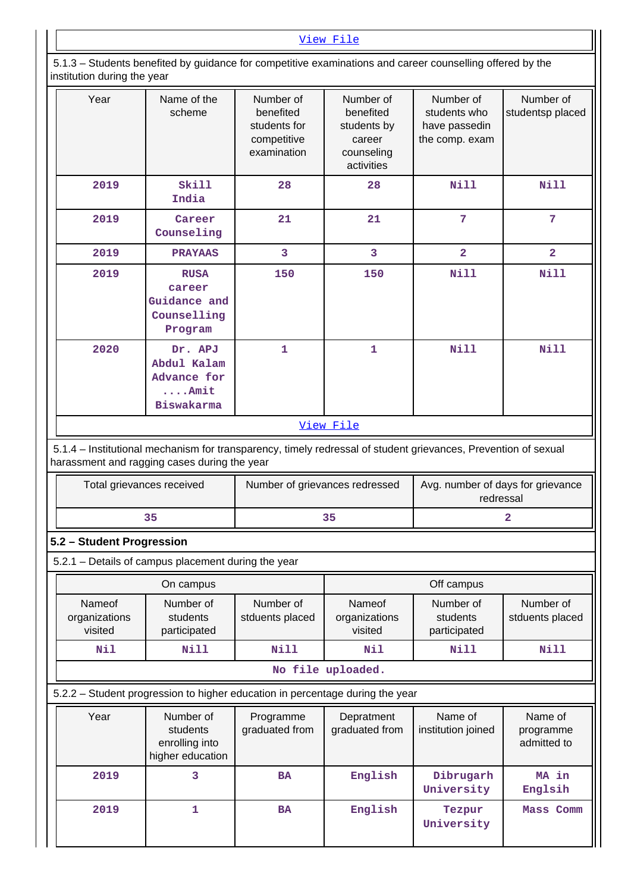# [View File](https://assessmentonline.naac.gov.in/public/Postacc/Development_Schemes/12934_Development_Schemes_1630057169.xlsx)

 5.1.3 – Students benefited by guidance for competitive examinations and career counselling offered by the institution during the year

| Year                                                                                                                                                           | Name of the<br>scheme                                                  | Number of<br>benefited<br>students for<br>competitive<br>examination | Number of<br>benefited<br>students by<br>career<br>counseling<br>activities | Number of<br>students who<br>have passedin<br>the comp. exam | Number of<br>studentsp placed       |
|----------------------------------------------------------------------------------------------------------------------------------------------------------------|------------------------------------------------------------------------|----------------------------------------------------------------------|-----------------------------------------------------------------------------|--------------------------------------------------------------|-------------------------------------|
| 2019                                                                                                                                                           | Skill<br>India                                                         | 28                                                                   | 28                                                                          | <b>Nill</b>                                                  | <b>Nill</b>                         |
| 2019                                                                                                                                                           | Career<br>Counseling                                                   | 21                                                                   | 21                                                                          | $7\phantom{.}7$                                              | $\overline{7}$                      |
| 2019                                                                                                                                                           | <b>PRAYAAS</b>                                                         | 3                                                                    | $\overline{3}$                                                              | $\overline{2}$                                               | $\overline{2}$                      |
| 2019                                                                                                                                                           | <b>RUSA</b><br>career<br>Guidance and<br>Counselling<br>Program        | 150                                                                  | 150                                                                         | <b>Nill</b>                                                  | Nill                                |
| 2020                                                                                                                                                           | Dr. APJ<br>Abdul Kalam<br>Advance for<br>$\ldots$ . Amit<br>Biswakarma |                                                                      | 1                                                                           | <b>Nill</b>                                                  | <b>Nill</b>                         |
|                                                                                                                                                                |                                                                        |                                                                      | View File                                                                   |                                                              |                                     |
| 5.1.4 - Institutional mechanism for transparency, timely redressal of student grievances, Prevention of sexual<br>harassment and ragging cases during the year |                                                                        |                                                                      |                                                                             |                                                              |                                     |
| Total grievances received                                                                                                                                      |                                                                        | Number of grievances redressed                                       |                                                                             | Avg. number of days for grievance<br>redressal               |                                     |
|                                                                                                                                                                |                                                                        |                                                                      |                                                                             |                                                              |                                     |
|                                                                                                                                                                | 35                                                                     |                                                                      | 35                                                                          |                                                              | $\overline{2}$                      |
| 5.2 - Student Progression                                                                                                                                      |                                                                        |                                                                      |                                                                             |                                                              |                                     |
| 5.2.1 - Details of campus placement during the year                                                                                                            |                                                                        |                                                                      |                                                                             |                                                              |                                     |
|                                                                                                                                                                | On campus                                                              |                                                                      |                                                                             | Off campus                                                   |                                     |
| Nameof<br>organizations<br>visited                                                                                                                             | Number of<br>students<br>participated                                  | Number of<br>stduents placed                                         | Nameof<br>organizations<br>visited                                          | Number of<br>students<br>participated                        | Number of<br>stduents placed        |
| Nil                                                                                                                                                            | <b>Nill</b>                                                            | <b>Nill</b>                                                          | Nil                                                                         | Nill                                                         | <b>Nill</b>                         |
|                                                                                                                                                                |                                                                        |                                                                      | No file uploaded.                                                           |                                                              |                                     |
| 5.2.2 - Student progression to higher education in percentage during the year                                                                                  |                                                                        |                                                                      |                                                                             |                                                              |                                     |
| Year                                                                                                                                                           | Number of<br>students<br>enrolling into<br>higher education            | Programme<br>graduated from                                          | Depratment<br>graduated from                                                | Name of<br>institution joined                                | Name of<br>programme<br>admitted to |
| 2019                                                                                                                                                           | 3                                                                      | <b>BA</b>                                                            | English                                                                     | Dibrugarh<br>University                                      | MA in<br>Englsih                    |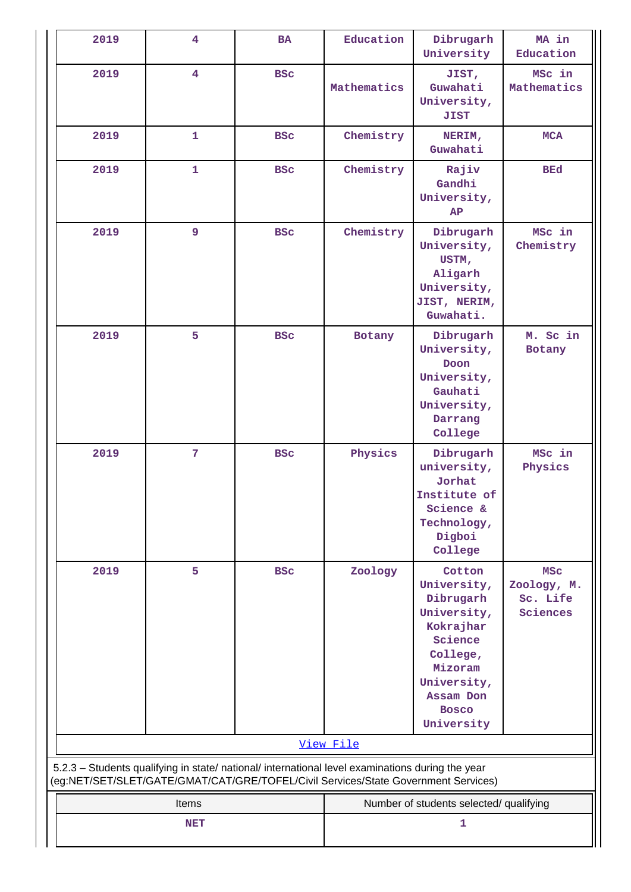| 2019                                                                                                                                                                                   | 4              | <b>BA</b>  | Education   | Dibrugarh<br>University                                                                                                                                    | MA in<br>Education                                |
|----------------------------------------------------------------------------------------------------------------------------------------------------------------------------------------|----------------|------------|-------------|------------------------------------------------------------------------------------------------------------------------------------------------------------|---------------------------------------------------|
| 2019                                                                                                                                                                                   | $\overline{4}$ | <b>BSC</b> | Mathematics | JIST,<br>Guwahati<br>University,<br><b>JIST</b>                                                                                                            | MSc in<br>Mathematics                             |
| 2019                                                                                                                                                                                   | $\mathbf{1}$   | <b>BSC</b> | Chemistry   | NERIM,<br>Guwahati                                                                                                                                         | <b>MCA</b>                                        |
| 2019                                                                                                                                                                                   | $\mathbf{1}$   | <b>BSC</b> | Chemistry   | Rajiv<br>Gandhi<br>University,<br>AP                                                                                                                       | <b>BEd</b>                                        |
| 2019                                                                                                                                                                                   | 9              | <b>BSC</b> | Chemistry   | Dibrugarh<br>University,<br>USTM,<br>Aligarh<br>University,<br>JIST, NERIM,<br>Guwahati.                                                                   | MSc in<br>Chemistry                               |
| 2019                                                                                                                                                                                   | 5              | <b>BSC</b> | Botany      | Dibrugarh<br>University,<br>Doon<br>University,<br>Gauhati<br>University,<br>Darrang<br>College                                                            | M. Sc in<br>Botany                                |
| 2019                                                                                                                                                                                   | $\overline{7}$ | <b>BSC</b> | Physics     | Dibrugarh<br>university,<br>Jorhat<br>Institute of<br>Science &<br>Technology,<br>Digboi<br>College                                                        | MSc in<br>Physics                                 |
| 2019                                                                                                                                                                                   | 5              | <b>BSC</b> | Zoology     | Cotton<br>University,<br>Dibrugarh<br>University,<br>Kokrajhar<br>Science<br>College,<br>Mizoram<br>University,<br>Assam Don<br><b>Bosco</b><br>University | <b>MSC</b><br>Zoology, M.<br>Sc. Life<br>Sciences |
|                                                                                                                                                                                        |                |            | View File   |                                                                                                                                                            |                                                   |
| 5.2.3 - Students qualifying in state/ national/ international level examinations during the year<br>(eg:NET/SET/SLET/GATE/GMAT/CAT/GRE/TOFEL/Civil Services/State Government Services) |                |            |             |                                                                                                                                                            |                                                   |
|                                                                                                                                                                                        | Items          |            |             | Number of students selected/ qualifying                                                                                                                    |                                                   |
|                                                                                                                                                                                        | <b>NET</b>     |            |             | 1                                                                                                                                                          |                                                   |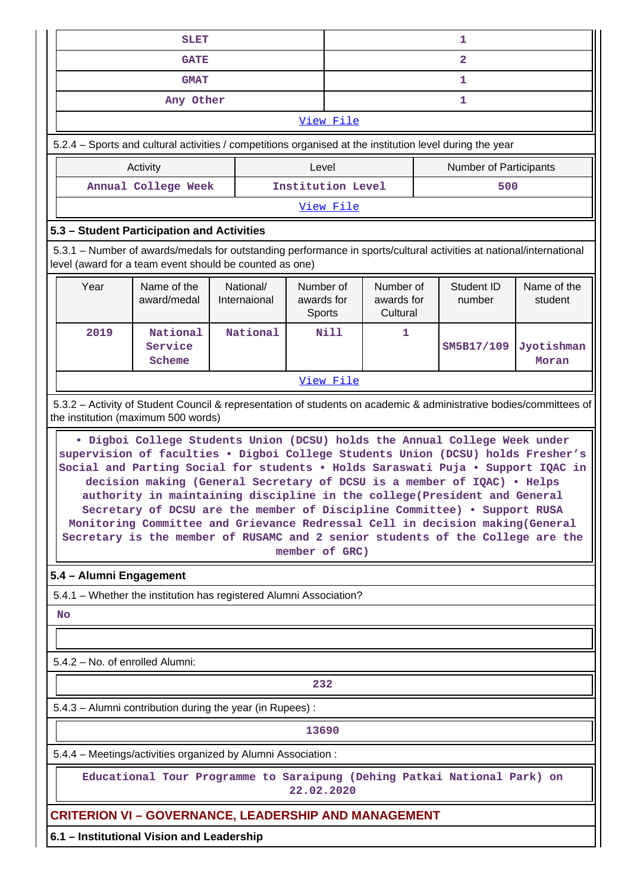| <b>SLET</b>                                                                            |                                                                                                                                                                                                                                                                                                                                                                                                                                                                                                                                                                           |  |                           |                                          |             | 1                                   |  |                        |                        |
|----------------------------------------------------------------------------------------|---------------------------------------------------------------------------------------------------------------------------------------------------------------------------------------------------------------------------------------------------------------------------------------------------------------------------------------------------------------------------------------------------------------------------------------------------------------------------------------------------------------------------------------------------------------------------|--|---------------------------|------------------------------------------|-------------|-------------------------------------|--|------------------------|------------------------|
| <b>GATE</b>                                                                            |                                                                                                                                                                                                                                                                                                                                                                                                                                                                                                                                                                           |  |                           |                                          |             | $\overline{2}$                      |  |                        |                        |
| <b>GMAT</b>                                                                            |                                                                                                                                                                                                                                                                                                                                                                                                                                                                                                                                                                           |  |                           |                                          |             | 1                                   |  |                        |                        |
|                                                                                        | Any Other                                                                                                                                                                                                                                                                                                                                                                                                                                                                                                                                                                 |  |                           |                                          |             |                                     |  | 1                      |                        |
|                                                                                        |                                                                                                                                                                                                                                                                                                                                                                                                                                                                                                                                                                           |  |                           |                                          | View File   |                                     |  |                        |                        |
|                                                                                        | 5.2.4 – Sports and cultural activities / competitions organised at the institution level during the year                                                                                                                                                                                                                                                                                                                                                                                                                                                                  |  |                           |                                          |             |                                     |  |                        |                        |
|                                                                                        | Activity                                                                                                                                                                                                                                                                                                                                                                                                                                                                                                                                                                  |  |                           | Level                                    |             |                                     |  | Number of Participants |                        |
|                                                                                        | Annual College Week                                                                                                                                                                                                                                                                                                                                                                                                                                                                                                                                                       |  |                           | Institution Level                        |             |                                     |  | 500                    |                        |
|                                                                                        |                                                                                                                                                                                                                                                                                                                                                                                                                                                                                                                                                                           |  |                           |                                          | View File   |                                     |  |                        |                        |
|                                                                                        | 5.3 - Student Participation and Activities                                                                                                                                                                                                                                                                                                                                                                                                                                                                                                                                |  |                           |                                          |             |                                     |  |                        |                        |
|                                                                                        | 5.3.1 – Number of awards/medals for outstanding performance in sports/cultural activities at national/international<br>level (award for a team event should be counted as one)                                                                                                                                                                                                                                                                                                                                                                                            |  |                           |                                          |             |                                     |  |                        |                        |
| Year                                                                                   | Name of the<br>award/medal                                                                                                                                                                                                                                                                                                                                                                                                                                                                                                                                                |  | National/<br>Internaional | Number of<br>awards for<br><b>Sports</b> |             | Number of<br>awards for<br>Cultural |  | Student ID<br>number   | Name of the<br>student |
| 2019                                                                                   | National<br>Service<br>Scheme                                                                                                                                                                                                                                                                                                                                                                                                                                                                                                                                             |  | National                  |                                          | <b>Nill</b> | 1                                   |  | SM5B17/109             | Jyotishman<br>Moran    |
|                                                                                        |                                                                                                                                                                                                                                                                                                                                                                                                                                                                                                                                                                           |  |                           |                                          | View File   |                                     |  |                        |                        |
|                                                                                        | 5.3.2 - Activity of Student Council & representation of students on academic & administrative bodies/committees of<br>the institution (maximum 500 words)                                                                                                                                                                                                                                                                                                                                                                                                                 |  |                           |                                          |             |                                     |  |                        |                        |
|                                                                                        | supervision of faculties . Digboi College Students Union (DCSU) holds Fresher's<br>Social and Parting Social for students . Holds Saraswati Puja . Support IQAC in<br>decision making (General Secretary of DCSU is a member of IQAC) . Helps<br>authority in maintaining discipline in the college (President and General<br>Secretary of DCSU are the member of Discipline Committee) . Support RUSA<br>Monitoring Committee and Grievance Redressal Cell in decision making (General<br>Secretary is the member of RUSAMC and 2 senior students of the College are the |  |                           | member of GRC)                           |             |                                     |  |                        |                        |
| 5.4 - Alumni Engagement                                                                |                                                                                                                                                                                                                                                                                                                                                                                                                                                                                                                                                                           |  |                           |                                          |             |                                     |  |                        |                        |
|                                                                                        | 5.4.1 - Whether the institution has registered Alumni Association?                                                                                                                                                                                                                                                                                                                                                                                                                                                                                                        |  |                           |                                          |             |                                     |  |                        |                        |
| <b>No</b>                                                                              |                                                                                                                                                                                                                                                                                                                                                                                                                                                                                                                                                                           |  |                           |                                          |             |                                     |  |                        |                        |
|                                                                                        |                                                                                                                                                                                                                                                                                                                                                                                                                                                                                                                                                                           |  |                           |                                          |             |                                     |  |                        |                        |
| 5.4.2 - No. of enrolled Alumni:                                                        |                                                                                                                                                                                                                                                                                                                                                                                                                                                                                                                                                                           |  |                           |                                          |             |                                     |  |                        |                        |
| 232                                                                                    |                                                                                                                                                                                                                                                                                                                                                                                                                                                                                                                                                                           |  |                           |                                          |             |                                     |  |                        |                        |
| 5.4.3 - Alumni contribution during the year (in Rupees) :                              |                                                                                                                                                                                                                                                                                                                                                                                                                                                                                                                                                                           |  |                           |                                          |             |                                     |  |                        |                        |
|                                                                                        |                                                                                                                                                                                                                                                                                                                                                                                                                                                                                                                                                                           |  |                           | 13690                                    |             |                                     |  |                        |                        |
|                                                                                        | 5.4.4 - Meetings/activities organized by Alumni Association :                                                                                                                                                                                                                                                                                                                                                                                                                                                                                                             |  |                           |                                          |             |                                     |  |                        |                        |
| Educational Tour Programme to Saraipung (Dehing Patkai National Park) on<br>22.02.2020 |                                                                                                                                                                                                                                                                                                                                                                                                                                                                                                                                                                           |  |                           |                                          |             |                                     |  |                        |                        |
|                                                                                        | <b>CRITERION VI - GOVERNANCE, LEADERSHIP AND MANAGEMENT</b>                                                                                                                                                                                                                                                                                                                                                                                                                                                                                                               |  |                           |                                          |             |                                     |  |                        |                        |
|                                                                                        | 6.1 - Institutional Vision and Leadership                                                                                                                                                                                                                                                                                                                                                                                                                                                                                                                                 |  |                           |                                          |             |                                     |  |                        |                        |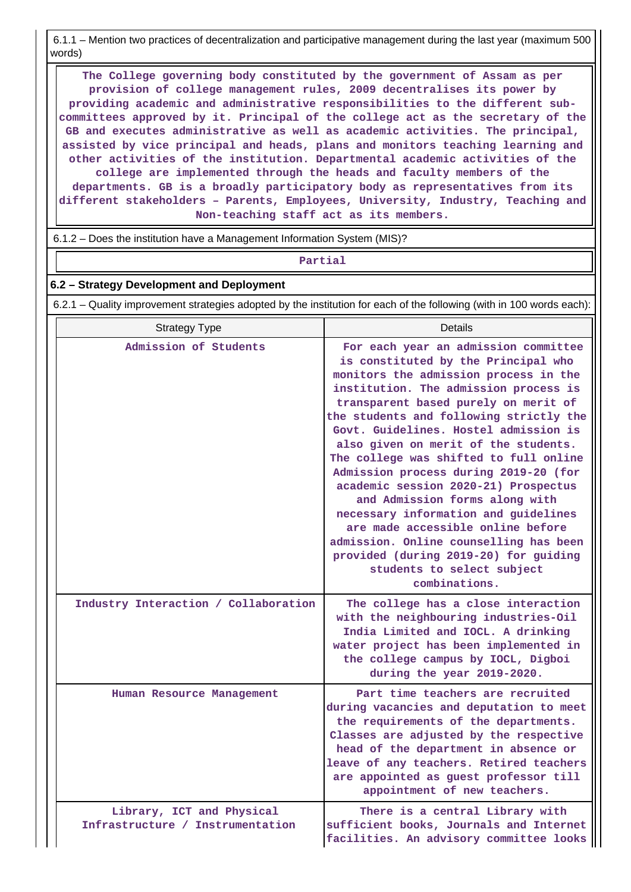6.1.1 – Mention two practices of decentralization and participative management during the last year (maximum 500 words)

 **The College governing body constituted by the government of Assam as per provision of college management rules, 2009 decentralises its power by providing academic and administrative responsibilities to the different subcommittees approved by it. Principal of the college act as the secretary of the GB and executes administrative as well as academic activities. The principal, assisted by vice principal and heads, plans and monitors teaching learning and other activities of the institution. Departmental academic activities of the college are implemented through the heads and faculty members of the departments. GB is a broadly participatory body as representatives from its different stakeholders – Parents, Employees, University, Industry, Teaching and Non-teaching staff act as its members.**

6.1.2 – Does the institution have a Management Information System (MIS)?

**Partial**

#### **6.2 – Strategy Development and Deployment**

6.2.1 – Quality improvement strategies adopted by the institution for each of the following (with in 100 words each):

| <b>Strategy Type</b>                                          | Details                                                                                                                                                                                                                                                                                                                                                                                                                                                                                                                                                                                                                                                                                                       |
|---------------------------------------------------------------|---------------------------------------------------------------------------------------------------------------------------------------------------------------------------------------------------------------------------------------------------------------------------------------------------------------------------------------------------------------------------------------------------------------------------------------------------------------------------------------------------------------------------------------------------------------------------------------------------------------------------------------------------------------------------------------------------------------|
| Admission of Students                                         | For each year an admission committee<br>is constituted by the Principal who<br>monitors the admission process in the<br>institution. The admission process is<br>transparent based purely on merit of<br>the students and following strictly the<br>Govt. Guidelines. Hostel admission is<br>also given on merit of the students.<br>The college was shifted to full online<br>Admission process during 2019-20 (for<br>academic session 2020-21) Prospectus<br>and Admission forms along with<br>necessary information and guidelines<br>are made accessible online before<br>admission. Online counselling has been<br>provided (during 2019-20) for guiding<br>students to select subject<br>combinations. |
| Industry Interaction / Collaboration                          | The college has a close interaction<br>with the neighbouring industries-Oil<br>India Limited and IOCL. A drinking<br>water project has been implemented in<br>the college campus by IOCL, Digboi<br>during the year 2019-2020.                                                                                                                                                                                                                                                                                                                                                                                                                                                                                |
| Human Resource Management                                     | Part time teachers are recruited<br>during vacancies and deputation to meet<br>the requirements of the departments.<br>Classes are adjusted by the respective<br>head of the department in absence or<br>leave of any teachers. Retired teachers<br>are appointed as guest professor till<br>appointment of new teachers.                                                                                                                                                                                                                                                                                                                                                                                     |
| Library, ICT and Physical<br>Infrastructure / Instrumentation | There is a central Library with<br>sufficient books, Journals and Internet<br>facilities. An advisory committee looks                                                                                                                                                                                                                                                                                                                                                                                                                                                                                                                                                                                         |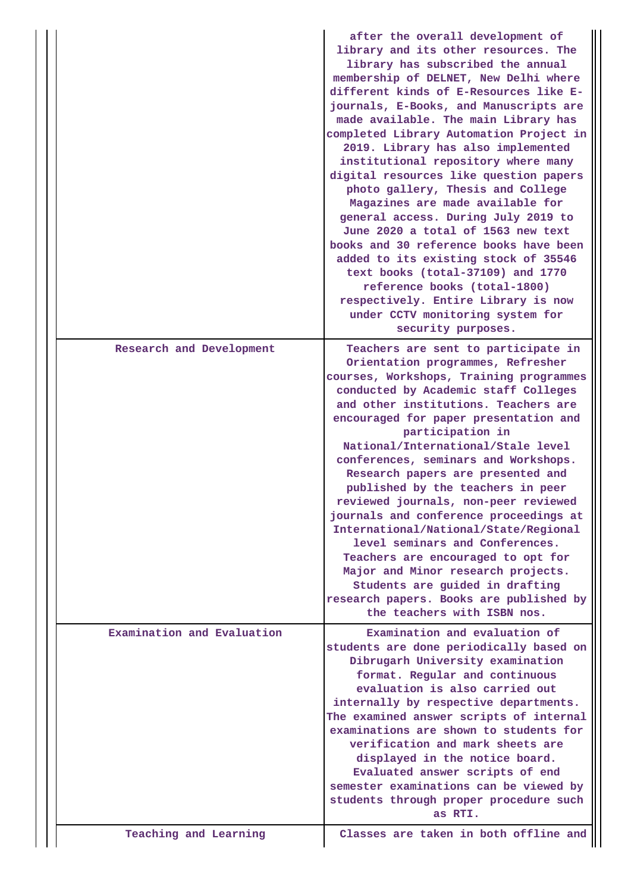|                            | after the overall development of<br>library and its other resources. The<br>library has subscribed the annual<br>membership of DELNET, New Delhi where<br>different kinds of E-Resources like E-<br>journals, E-Books, and Manuscripts are<br>made available. The main Library has<br>completed Library Automation Project in<br>2019. Library has also implemented<br>institutional repository where many<br>digital resources like question papers<br>photo gallery, Thesis and College<br>Magazines are made available for<br>general access. During July 2019 to<br>June 2020 a total of 1563 new text<br>books and 30 reference books have been<br>added to its existing stock of 35546<br>text books (total-37109) and 1770<br>reference books (total-1800)<br>respectively. Entire Library is now<br>under CCTV monitoring system for<br>security purposes. |
|----------------------------|--------------------------------------------------------------------------------------------------------------------------------------------------------------------------------------------------------------------------------------------------------------------------------------------------------------------------------------------------------------------------------------------------------------------------------------------------------------------------------------------------------------------------------------------------------------------------------------------------------------------------------------------------------------------------------------------------------------------------------------------------------------------------------------------------------------------------------------------------------------------|
| Research and Development   | Teachers are sent to participate in<br>Orientation programmes, Refresher<br>courses, Workshops, Training programmes<br>conducted by Academic staff Colleges<br>and other institutions. Teachers are<br>encouraged for paper presentation and<br>participation in<br>National/International/Stale level<br>conferences, seminars and Workshops.<br>Research papers are presented and<br>published by the teachers in peer<br>reviewed journals, non-peer reviewed<br>journals and conference proceedings at<br>International/National/State/Regional<br>level seminars and Conferences.<br>Teachers are encouraged to opt for<br>Major and Minor research projects.<br>Students are guided in drafting<br>research papers. Books are published by<br>the teachers with ISBN nos.                                                                                    |
| Examination and Evaluation | Examination and evaluation of<br>students are done periodically based on<br>Dibrugarh University examination<br>format. Regular and continuous<br>evaluation is also carried out<br>internally by respective departments.<br>The examined answer scripts of internal<br>examinations are shown to students for<br>verification and mark sheets are<br>displayed in the notice board.<br>Evaluated answer scripts of end<br>semester examinations can be viewed by<br>students through proper procedure such<br>as RTI.<br>Classes are taken in both offline and                                                                                                                                                                                                                                                                                                    |
| Teaching and Learning      |                                                                                                                                                                                                                                                                                                                                                                                                                                                                                                                                                                                                                                                                                                                                                                                                                                                                    |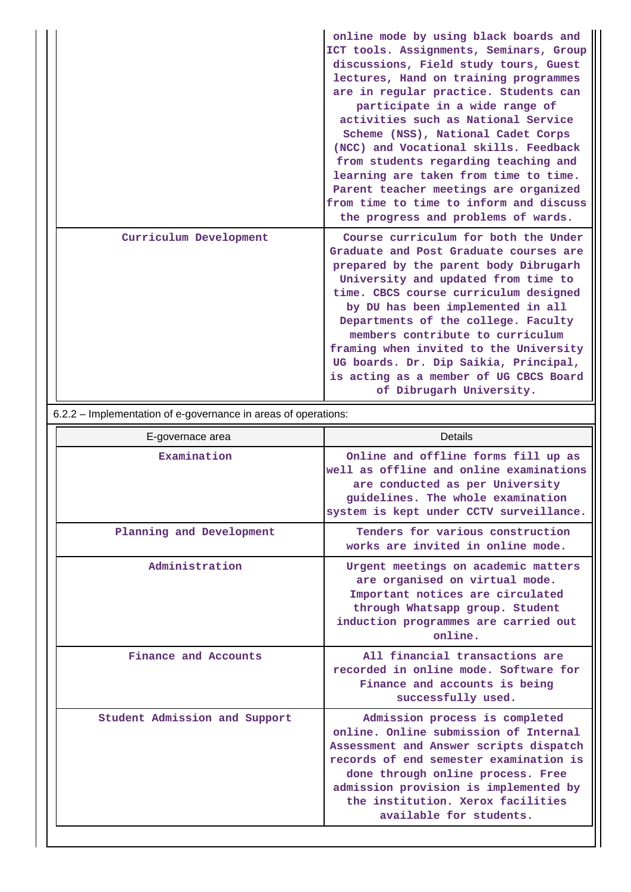|                        | online mode by using black boards and<br>ICT tools. Assignments, Seminars, Group<br>discussions, Field study tours, Guest<br>lectures, Hand on training programmes<br>are in regular practice. Students can<br>participate in a wide range of<br>activities such as National Service<br>Scheme (NSS), National Cadet Corps<br>(NCC) and Vocational skills. Feedback<br>from students regarding teaching and<br>learning are taken from time to time.<br>Parent teacher meetings are organized<br>from time to time to inform and discuss<br>the progress and problems of wards. |
|------------------------|---------------------------------------------------------------------------------------------------------------------------------------------------------------------------------------------------------------------------------------------------------------------------------------------------------------------------------------------------------------------------------------------------------------------------------------------------------------------------------------------------------------------------------------------------------------------------------|
| Curriculum Development | Course curriculum for both the Under<br>Graduate and Post Graduate courses are<br>prepared by the parent body Dibrugarh<br>University and updated from time to<br>time. CBCS course curriculum designed<br>by DU has been implemented in all<br>Departments of the college. Faculty<br>members contribute to curriculum<br>framing when invited to the University<br>UG boards. Dr. Dip Saikia, Principal,<br>is acting as a member of UG CBCS Board<br>of Dibrugarh University.                                                                                                |

6.2.2 – Implementation of e-governance in areas of operations:

| E-governace area              | Details                                                                                                                                                                                                                                                                                                   |
|-------------------------------|-----------------------------------------------------------------------------------------------------------------------------------------------------------------------------------------------------------------------------------------------------------------------------------------------------------|
| Examination                   | Online and offline forms fill up as<br>well as offline and online examinations<br>are conducted as per University<br>guidelines. The whole examination<br>system is kept under CCTV surveillance.                                                                                                         |
| Planning and Development      | Tenders for various construction<br>works are invited in online mode.                                                                                                                                                                                                                                     |
| Administration                | Urgent meetings on academic matters<br>are organised on virtual mode.<br>Important notices are circulated<br>through Whatsapp group. Student<br>induction programmes are carried out<br>online.                                                                                                           |
| Finance and Accounts          | All financial transactions are<br>recorded in online mode. Software for<br>Finance and accounts is being<br>successfully used.                                                                                                                                                                            |
| Student Admission and Support | Admission process is completed<br>online. Online submission of Internal<br>Assessment and Answer scripts dispatch<br>records of end semester examination is<br>done through online process. Free<br>admission provision is implemented by<br>the institution. Xerox facilities<br>available for students. |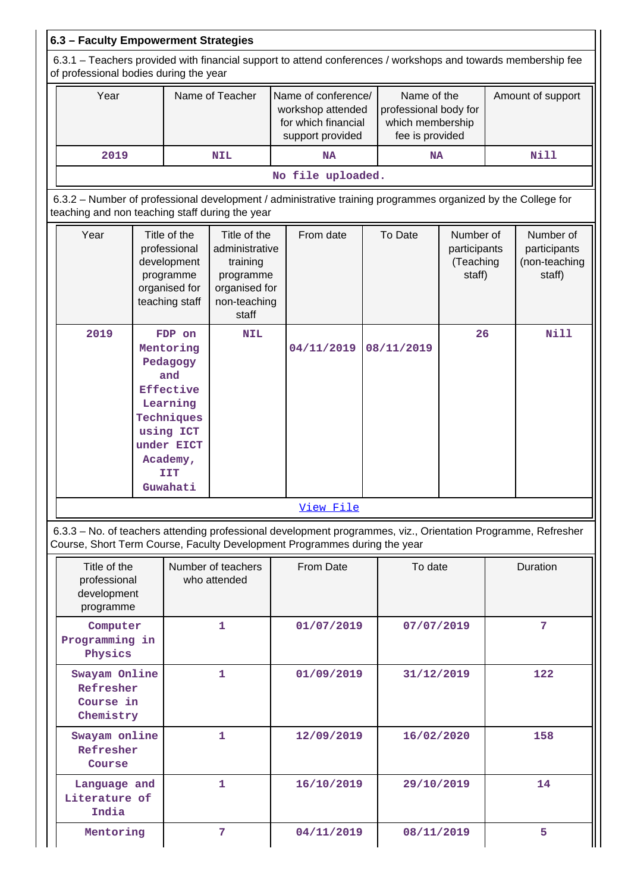| 6.3 - Faculty Empowerment Strategies                                                                                                                    |                                                                                       |                                                                                                                             |                                                                                                   |  |                                                                                                                                                                                            |  |                                                                             |                                                  |                   |                                                      |
|---------------------------------------------------------------------------------------------------------------------------------------------------------|---------------------------------------------------------------------------------------|-----------------------------------------------------------------------------------------------------------------------------|---------------------------------------------------------------------------------------------------|--|--------------------------------------------------------------------------------------------------------------------------------------------------------------------------------------------|--|-----------------------------------------------------------------------------|--------------------------------------------------|-------------------|------------------------------------------------------|
| 6.3.1 – Teachers provided with financial support to attend conferences / workshops and towards membership fee<br>of professional bodies during the year |                                                                                       |                                                                                                                             |                                                                                                   |  |                                                                                                                                                                                            |  |                                                                             |                                                  |                   |                                                      |
| Year                                                                                                                                                    |                                                                                       |                                                                                                                             | Name of Teacher                                                                                   |  | Name of conference/<br>workshop attended<br>for which financial<br>support provided                                                                                                        |  | Name of the<br>professional body for<br>which membership<br>fee is provided |                                                  | Amount of support |                                                      |
| 2019                                                                                                                                                    |                                                                                       |                                                                                                                             | <b>NIL</b>                                                                                        |  | <b>NA</b>                                                                                                                                                                                  |  | <b>NA</b>                                                                   |                                                  |                   | <b>Nill</b>                                          |
|                                                                                                                                                         |                                                                                       |                                                                                                                             |                                                                                                   |  | No file uploaded.                                                                                                                                                                          |  |                                                                             |                                                  |                   |                                                      |
| teaching and non teaching staff during the year                                                                                                         |                                                                                       |                                                                                                                             |                                                                                                   |  | 6.3.2 - Number of professional development / administrative training programmes organized by the College for                                                                               |  |                                                                             |                                                  |                   |                                                      |
| Year                                                                                                                                                    |                                                                                       | Title of the<br>professional<br>development<br>programme<br>organised for<br>teaching staff                                 | Title of the<br>administrative<br>training<br>programme<br>organised for<br>non-teaching<br>staff |  | From date                                                                                                                                                                                  |  | To Date                                                                     | Number of<br>participants<br>(Teaching<br>staff) |                   | Number of<br>participants<br>(non-teaching<br>staff) |
| 2019                                                                                                                                                    |                                                                                       | FDP on<br>Mentoring<br>Pedagogy<br>and<br>Effective<br>Learning<br>Techniques<br>using ICT<br>under EICT<br>Academy,<br>IIT | <b>NIL</b>                                                                                        |  | 04/11/2019                                                                                                                                                                                 |  | 08/11/2019                                                                  | 26                                               |                   | <b>Nill</b>                                          |
|                                                                                                                                                         |                                                                                       | Guwahati                                                                                                                    |                                                                                                   |  |                                                                                                                                                                                            |  |                                                                             |                                                  |                   |                                                      |
|                                                                                                                                                         |                                                                                       |                                                                                                                             |                                                                                                   |  | Vıew Fıle                                                                                                                                                                                  |  |                                                                             |                                                  |                   |                                                      |
|                                                                                                                                                         |                                                                                       |                                                                                                                             |                                                                                                   |  | 6.3.3 - No. of teachers attending professional development programmes, viz., Orientation Programme, Refresher<br>Course, Short Term Course, Faculty Development Programmes during the year |  |                                                                             |                                                  |                   |                                                      |
| Title of the<br>professional<br>development<br>programme                                                                                                |                                                                                       |                                                                                                                             | Number of teachers<br>who attended                                                                |  | From Date                                                                                                                                                                                  |  | To date                                                                     |                                                  |                   | Duration                                             |
| Computer<br>Programming in<br>Physics                                                                                                                   |                                                                                       |                                                                                                                             | $\mathbf{1}$                                                                                      |  | 01/07/2019                                                                                                                                                                                 |  | 07/07/2019                                                                  |                                                  |                   | 7                                                    |
|                                                                                                                                                         | Swayam Online<br>1<br>01/09/2019<br>31/12/2019<br>Refresher<br>Course in<br>Chemistry |                                                                                                                             |                                                                                                   |  | 122                                                                                                                                                                                        |  |                                                                             |                                                  |                   |                                                      |
| Swayam online<br>Refresher<br>Course                                                                                                                    |                                                                                       |                                                                                                                             | 1                                                                                                 |  | 12/09/2019                                                                                                                                                                                 |  | 16/02/2020                                                                  |                                                  |                   | 158                                                  |
| Language and<br>Literature of<br>India                                                                                                                  |                                                                                       |                                                                                                                             | $\mathbf{1}$                                                                                      |  | 16/10/2019                                                                                                                                                                                 |  | 29/10/2019                                                                  |                                                  |                   | 14                                                   |
| Mentoring                                                                                                                                               |                                                                                       |                                                                                                                             | 7                                                                                                 |  | 04/11/2019                                                                                                                                                                                 |  | 08/11/2019                                                                  |                                                  |                   | 5                                                    |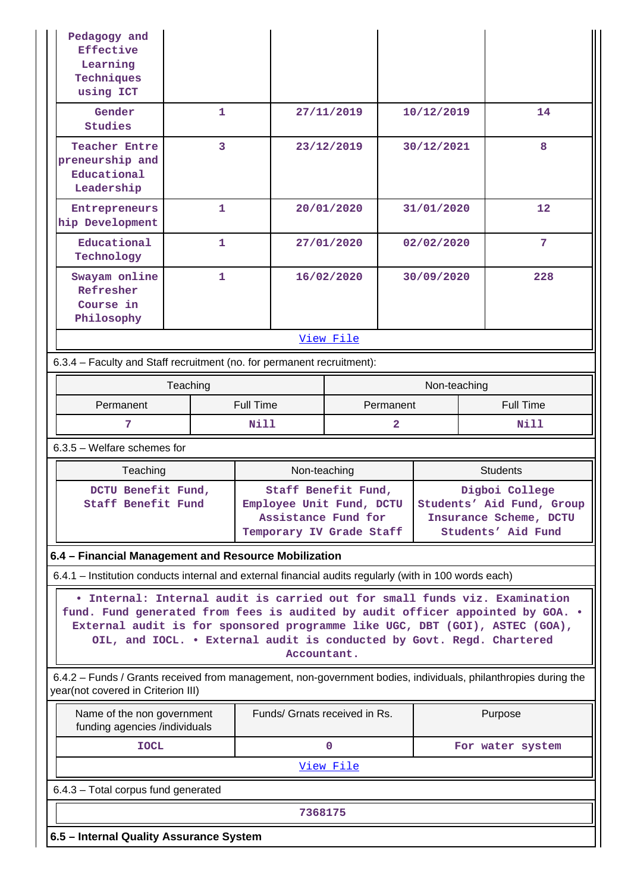| Pedagogy and<br>Effective<br>Learning<br>Techniques<br>using ICT                                                                                                                                                                                                                                                                    |              |                                                                                                    |                               |             |                |                                                                                             |                  |                  |  |
|-------------------------------------------------------------------------------------------------------------------------------------------------------------------------------------------------------------------------------------------------------------------------------------------------------------------------------------|--------------|----------------------------------------------------------------------------------------------------|-------------------------------|-------------|----------------|---------------------------------------------------------------------------------------------|------------------|------------------|--|
| Gender<br>Studies                                                                                                                                                                                                                                                                                                                   | 1            |                                                                                                    |                               | 27/11/2019  |                | 10/12/2019                                                                                  |                  | 14               |  |
| <b>Teacher Entre</b><br>preneurship and<br>Educational<br>Leadership                                                                                                                                                                                                                                                                | 3            |                                                                                                    |                               | 23/12/2019  |                | 30/12/2021                                                                                  |                  | 8                |  |
| Entrepreneurs<br>hip Development                                                                                                                                                                                                                                                                                                    | $\mathbf{1}$ |                                                                                                    |                               | 20/01/2020  |                | 31/01/2020                                                                                  |                  | 12               |  |
| Educational<br>Technology                                                                                                                                                                                                                                                                                                           | 1            |                                                                                                    |                               | 27/01/2020  |                | 02/02/2020                                                                                  |                  | 7                |  |
| Swayam online<br>Refresher<br>Course in<br>Philosophy                                                                                                                                                                                                                                                                               | 1            |                                                                                                    |                               | 16/02/2020  |                | 30/09/2020                                                                                  |                  | 228              |  |
|                                                                                                                                                                                                                                                                                                                                     |              |                                                                                                    |                               | View File   |                |                                                                                             |                  |                  |  |
| 6.3.4 - Faculty and Staff recruitment (no. for permanent recruitment):                                                                                                                                                                                                                                                              |              |                                                                                                    |                               |             |                |                                                                                             |                  |                  |  |
| Teaching                                                                                                                                                                                                                                                                                                                            |              |                                                                                                    |                               |             | Non-teaching   |                                                                                             |                  |                  |  |
| Permanent                                                                                                                                                                                                                                                                                                                           |              | <b>Full Time</b><br>Permanent                                                                      |                               |             |                |                                                                                             | <b>Full Time</b> |                  |  |
| 7                                                                                                                                                                                                                                                                                                                                   |              | <b>Nill</b>                                                                                        |                               |             | $\overline{2}$ |                                                                                             |                  | <b>Nill</b>      |  |
| $6.3.5$ – Welfare schemes for                                                                                                                                                                                                                                                                                                       |              |                                                                                                    |                               |             |                |                                                                                             |                  |                  |  |
| Teaching                                                                                                                                                                                                                                                                                                                            |              |                                                                                                    | Non-teaching                  |             |                |                                                                                             |                  | <b>Students</b>  |  |
| DCTU Benefit Fund,<br>Staff Benefit Fund                                                                                                                                                                                                                                                                                            |              | Staff Benefit Fund,<br>Employee Unit Fund, DCTU<br>Assistance Fund for<br>Temporary IV Grade Staff |                               |             |                | Digboi College<br>Students' Aid Fund, Group<br>Insurance Scheme, DCTU<br>Students' Aid Fund |                  |                  |  |
| 6.4 - Financial Management and Resource Mobilization                                                                                                                                                                                                                                                                                |              |                                                                                                    |                               |             |                |                                                                                             |                  |                  |  |
| 6.4.1 – Institution conducts internal and external financial audits regularly (with in 100 words each)                                                                                                                                                                                                                              |              |                                                                                                    |                               |             |                |                                                                                             |                  |                  |  |
| . Internal: Internal audit is carried out for small funds viz. Examination<br>fund. Fund generated from fees is audited by audit officer appointed by GOA. .<br>External audit is for sponsored programme like UGC, DBT (GOI), ASTEC (GOA),<br>OIL, and IOCL. . External audit is conducted by Govt. Regd. Chartered<br>Accountant. |              |                                                                                                    |                               |             |                |                                                                                             |                  |                  |  |
| 6.4.2 - Funds / Grants received from management, non-government bodies, individuals, philanthropies during the<br>year(not covered in Criterion III)                                                                                                                                                                                |              |                                                                                                    |                               |             |                |                                                                                             |                  |                  |  |
| Name of the non government<br>funding agencies /individuals                                                                                                                                                                                                                                                                         |              |                                                                                                    | Funds/ Grnats received in Rs. |             |                |                                                                                             |                  | Purpose          |  |
| <b>IOCL</b>                                                                                                                                                                                                                                                                                                                         |              |                                                                                                    |                               | $\mathbf 0$ |                |                                                                                             |                  | For water system |  |
|                                                                                                                                                                                                                                                                                                                                     |              |                                                                                                    | View File                     |             |                |                                                                                             |                  |                  |  |
| 6.4.3 - Total corpus fund generated                                                                                                                                                                                                                                                                                                 |              |                                                                                                    |                               |             |                |                                                                                             |                  |                  |  |
| 7368175                                                                                                                                                                                                                                                                                                                             |              |                                                                                                    |                               |             |                |                                                                                             |                  |                  |  |
|                                                                                                                                                                                                                                                                                                                                     |              |                                                                                                    |                               |             |                |                                                                                             |                  |                  |  |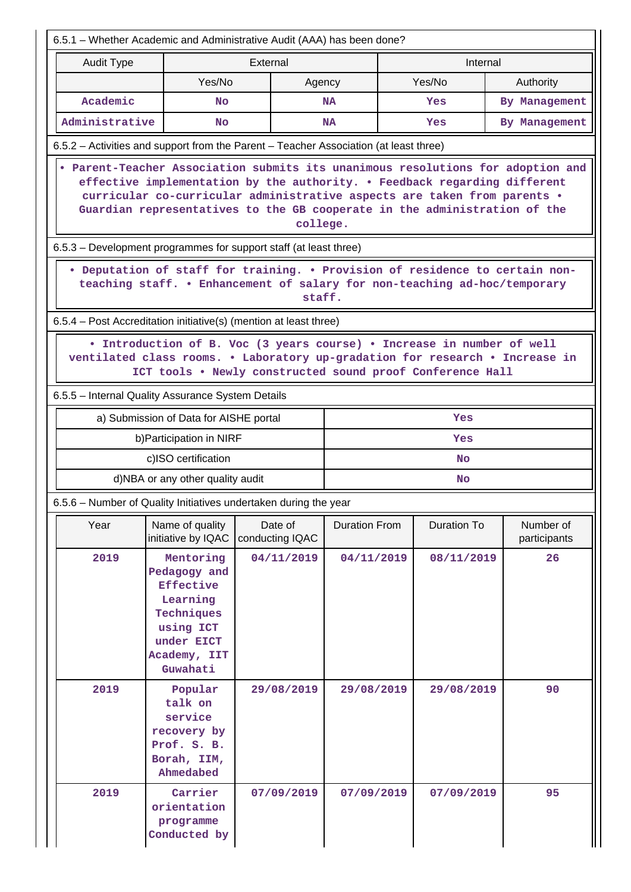| 6.5.1 – Whether Academic and Administrative Audit (AAA) has been done?                                                                                                                                              |                                                                                                                                                                                                                                    |                            |          |                      |  |                    |                                                                                 |  |  |  |
|---------------------------------------------------------------------------------------------------------------------------------------------------------------------------------------------------------------------|------------------------------------------------------------------------------------------------------------------------------------------------------------------------------------------------------------------------------------|----------------------------|----------|----------------------|--|--------------------|---------------------------------------------------------------------------------|--|--|--|
| <b>Audit Type</b>                                                                                                                                                                                                   |                                                                                                                                                                                                                                    | External                   |          |                      |  | Internal           |                                                                                 |  |  |  |
|                                                                                                                                                                                                                     | Yes/No                                                                                                                                                                                                                             |                            | Agency   |                      |  | Yes/No             | Authority                                                                       |  |  |  |
| Academic                                                                                                                                                                                                            | No                                                                                                                                                                                                                                 |                            |          | <b>NA</b>            |  | Yes                | By Management                                                                   |  |  |  |
| Administrative                                                                                                                                                                                                      | No                                                                                                                                                                                                                                 |                            |          | <b>NA</b>            |  | Yes                | By Management                                                                   |  |  |  |
| 6.5.2 – Activities and support from the Parent – Teacher Association (at least three)                                                                                                                               |                                                                                                                                                                                                                                    |                            |          |                      |  |                    |                                                                                 |  |  |  |
|                                                                                                                                                                                                                     | effective implementation by the authority. . Feedback regarding different<br>curricular co-curricular administrative aspects are taken from parents .<br>Guardian representatives to the GB cooperate in the administration of the |                            | college. |                      |  |                    | . Parent-Teacher Association submits its unanimous resolutions for adoption and |  |  |  |
|                                                                                                                                                                                                                     | 6.5.3 – Development programmes for support staff (at least three)                                                                                                                                                                  |                            |          |                      |  |                    |                                                                                 |  |  |  |
|                                                                                                                                                                                                                     | . Deputation of staff for training. . Provision of residence to certain non-<br>teaching staff. . Enhancement of salary for non-teaching ad-hoc/temporary<br>staff.                                                                |                            |          |                      |  |                    |                                                                                 |  |  |  |
| 6.5.4 – Post Accreditation initiative(s) (mention at least three)                                                                                                                                                   |                                                                                                                                                                                                                                    |                            |          |                      |  |                    |                                                                                 |  |  |  |
| • Introduction of B. Voc (3 years course) • Increase in number of well<br>ventilated class rooms. . Laboratory up-gradation for research . Increase in<br>ICT tools . Newly constructed sound proof Conference Hall |                                                                                                                                                                                                                                    |                            |          |                      |  |                    |                                                                                 |  |  |  |
| 6.5.5 - Internal Quality Assurance System Details                                                                                                                                                                   |                                                                                                                                                                                                                                    |                            |          |                      |  |                    |                                                                                 |  |  |  |
|                                                                                                                                                                                                                     | a) Submission of Data for AISHE portal                                                                                                                                                                                             |                            |          |                      |  | Yes                |                                                                                 |  |  |  |
|                                                                                                                                                                                                                     | b) Participation in NIRF                                                                                                                                                                                                           |                            |          |                      |  | Yes                |                                                                                 |  |  |  |
|                                                                                                                                                                                                                     | c)ISO certification                                                                                                                                                                                                                |                            |          |                      |  | <b>No</b>          |                                                                                 |  |  |  |
|                                                                                                                                                                                                                     | d)NBA or any other quality audit                                                                                                                                                                                                   |                            |          |                      |  | No                 |                                                                                 |  |  |  |
| 6.5.6 - Number of Quality Initiatives undertaken during the year                                                                                                                                                    |                                                                                                                                                                                                                                    |                            |          |                      |  |                    |                                                                                 |  |  |  |
| Year                                                                                                                                                                                                                | Name of quality<br>initiative by IQAC                                                                                                                                                                                              | Date of<br>conducting IQAC |          | <b>Duration From</b> |  | <b>Duration To</b> | Number of<br>participants                                                       |  |  |  |
| 2019                                                                                                                                                                                                                | Mentoring<br>Pedagogy and<br><b>Effective</b><br>Learning<br>Techniques<br>using ICT<br>under EICT<br>Academy, IIT<br>Guwahati                                                                                                     | 04/11/2019                 |          | 04/11/2019           |  | 08/11/2019         | 26                                                                              |  |  |  |
| 2019                                                                                                                                                                                                                | 29/08/2019<br>Popular<br>talk on<br>service<br>recovery by<br>Prof. S. B.<br>Borah, IIM,<br>Ahmedabed                                                                                                                              |                            |          | 29/08/2019           |  | 29/08/2019         | 90                                                                              |  |  |  |
| 2019                                                                                                                                                                                                                | Carrier<br>orientation<br>programme<br>Conducted by                                                                                                                                                                                | 07/09/2019                 |          | 07/09/2019           |  | 07/09/2019         | 95                                                                              |  |  |  |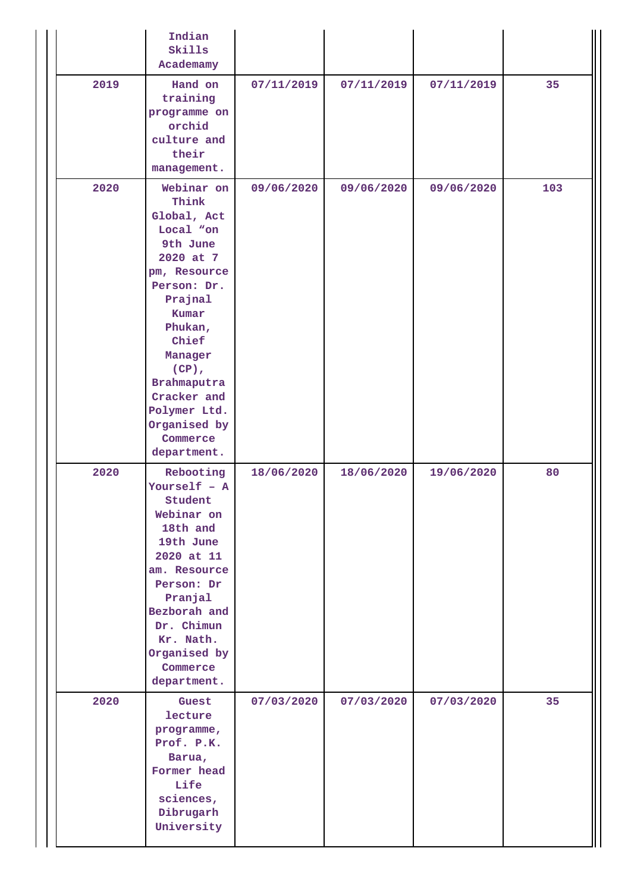|      | Indian<br>Skills<br>Academamy                                                                                                                                                                                                                                   |            |            |            |     |
|------|-----------------------------------------------------------------------------------------------------------------------------------------------------------------------------------------------------------------------------------------------------------------|------------|------------|------------|-----|
| 2019 | Hand on<br>training<br>programme on<br>orchid<br>culture and<br>their<br>management.                                                                                                                                                                            | 07/11/2019 | 07/11/2019 | 07/11/2019 | 35  |
| 2020 | Webinar on<br>Think<br>Global, Act<br>Local "on<br>9th June<br>2020 at 7<br>pm, Resource<br>Person: Dr.<br>Prajnal<br>Kumar<br>Phukan,<br>Chief<br>Manager<br>$(CP)$ ,<br>Brahmaputra<br>Cracker and<br>Polymer Ltd.<br>Organised by<br>Commerce<br>department. | 09/06/2020 | 09/06/2020 | 09/06/2020 | 103 |
| 2020 | Rebooting<br>Yourself $-$ A<br>Student<br>Webinar on<br>18th and<br>19th June<br>2020 at 11<br>am. Resource<br>Person: Dr<br>Pranjal<br>Bezborah and<br>Dr. Chimun<br>Kr. Nath.<br>Organised by<br>Commerce<br>department.                                      | 18/06/2020 | 18/06/2020 | 19/06/2020 | 80  |
| 2020 | Guest<br>lecture<br>programme,<br>Prof. P.K.<br>Barua,<br>Former head<br>Life<br>sciences,<br>Dibrugarh<br>University                                                                                                                                           | 07/03/2020 | 07/03/2020 | 07/03/2020 | 35  |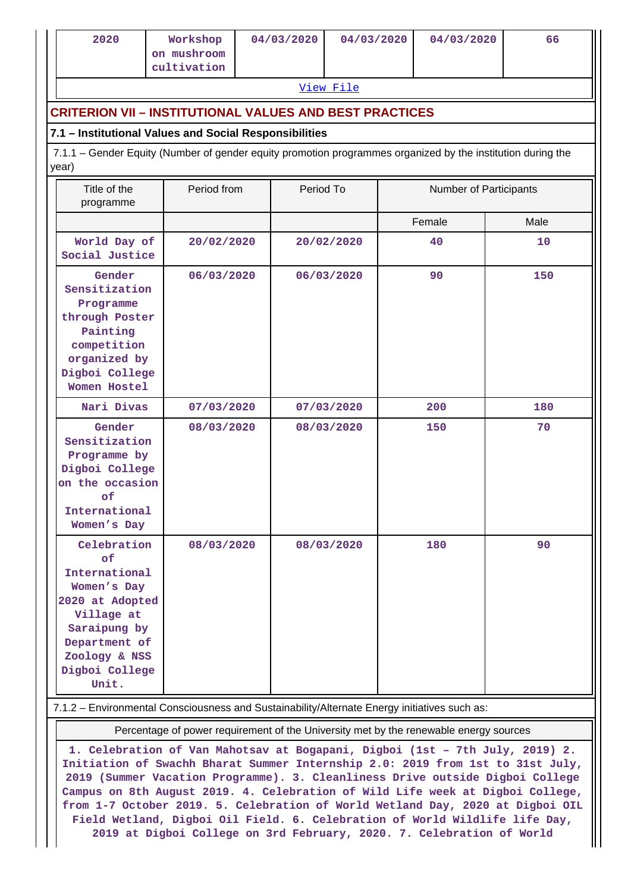| 2020                                                                                                                                                            | Workshop<br>on mushroom<br>cultivation | 04/03/2020 | 04/03/2020 |        | 04/03/2020             | 66   |  |  |
|-----------------------------------------------------------------------------------------------------------------------------------------------------------------|----------------------------------------|------------|------------|--------|------------------------|------|--|--|
|                                                                                                                                                                 |                                        |            | View File  |        |                        |      |  |  |
| <b>CRITERION VII - INSTITUTIONAL VALUES AND BEST PRACTICES</b>                                                                                                  |                                        |            |            |        |                        |      |  |  |
| 7.1 - Institutional Values and Social Responsibilities                                                                                                          |                                        |            |            |        |                        |      |  |  |
| 7.1.1 - Gender Equity (Number of gender equity promotion programmes organized by the institution during the<br>year)                                            |                                        |            |            |        |                        |      |  |  |
| Title of the<br>programme                                                                                                                                       | Period from                            |            | Period To  |        | Number of Participants |      |  |  |
|                                                                                                                                                                 |                                        |            |            | Female |                        | Male |  |  |
| World Day of<br>Social Justice                                                                                                                                  | 20/02/2020                             |            | 20/02/2020 | 40     |                        | 10   |  |  |
| Gender<br>Sensitization<br>Programme<br>through Poster<br>Painting<br>competition<br>organized by<br>Digboi College<br>Women Hostel                             | 06/03/2020                             |            | 06/03/2020 | 90     |                        | 150  |  |  |
| Nari Divas                                                                                                                                                      | 07/03/2020                             |            | 07/03/2020 | 200    |                        | 180  |  |  |
| Gender<br>Sensitization<br>Programme by<br>Digboi College<br>on the occasion<br>of<br>International<br>Women's Day                                              | 08/03/2020                             |            | 08/03/2020 | 150    |                        | 70   |  |  |
| Celebration<br>of<br>International<br>Women's Day<br>2020 at Adopted<br>Village at<br>Saraipung by<br>Department of<br>Zoology & NSS<br>Digboi College<br>Unit. | 08/03/2020                             |            | 08/03/2020 | 180    |                        | 90   |  |  |

Percentage of power requirement of the University met by the renewable energy sources

**1. Celebration of Van Mahotsav at Bogapani, Digboi (1st – 7th July, 2019) 2. Initiation of Swachh Bharat Summer Internship 2.0: 2019 from 1st to 31st July, 2019 (Summer Vacation Programme). 3. Cleanliness Drive outside Digboi College Campus on 8th August 2019. 4. Celebration of Wild Life week at Digboi College, from 1-7 October 2019. 5. Celebration of World Wetland Day, 2020 at Digboi OIL Field Wetland, Digboi Oil Field. 6. Celebration of World Wildlife life Day, 2019 at Digboi College on 3rd February, 2020. 7. Celebration of World**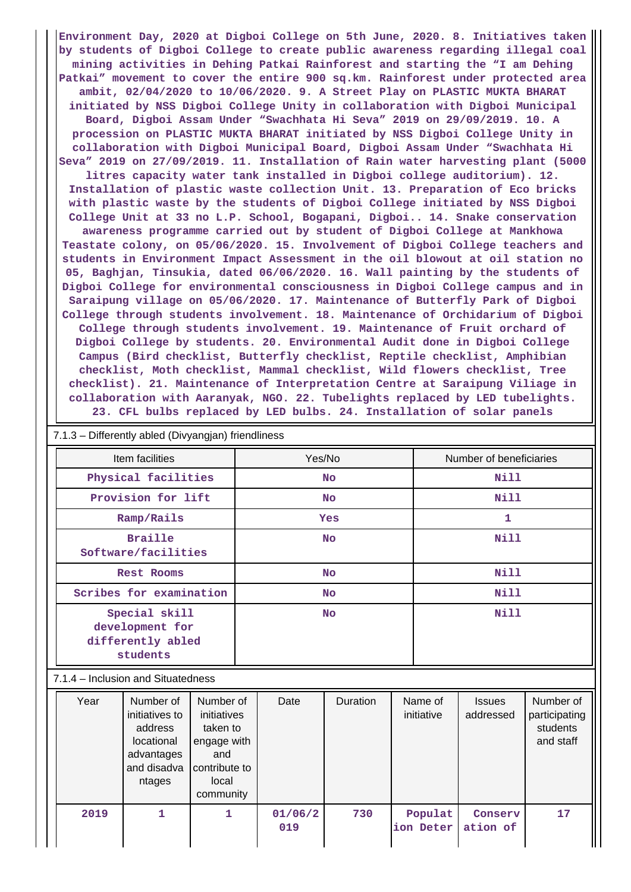**Environment Day, 2020 at Digboi College on 5th June, 2020. 8. Initiatives taken by students of Digboi College to create public awareness regarding illegal coal mining activities in Dehing Patkai Rainforest and starting the "I am Dehing Patkai" movement to cover the entire 900 sq.km. Rainforest under protected area ambit, 02/04/2020 to 10/06/2020. 9. A Street Play on PLASTIC MUKTA BHARAT initiated by NSS Digboi College Unity in collaboration with Digboi Municipal Board, Digboi Assam Under "Swachhata Hi Seva" 2019 on 29/09/2019. 10. A procession on PLASTIC MUKTA BHARAT initiated by NSS Digboi College Unity in collaboration with Digboi Municipal Board, Digboi Assam Under "Swachhata Hi Seva" 2019 on 27/09/2019. 11. Installation of Rain water harvesting plant (5000**

**litres capacity water tank installed in Digboi college auditorium). 12. Installation of plastic waste collection Unit. 13. Preparation of Eco bricks with plastic waste by the students of Digboi College initiated by NSS Digboi College Unit at 33 no L.P. School, Bogapani, Digboi.. 14. Snake conservation awareness programme carried out by student of Digboi College at Mankhowa Teastate colony, on 05/06/2020. 15. Involvement of Digboi College teachers and students in Environment Impact Assessment in the oil blowout at oil station no 05, Baghjan, Tinsukia, dated 06/06/2020. 16. Wall painting by the students of Digboi College for environmental consciousness in Digboi College campus and in Saraipung village on 05/06/2020. 17. Maintenance of Butterfly Park of Digboi College through students involvement. 18. Maintenance of Orchidarium of Digboi College through students involvement. 19. Maintenance of Fruit orchard of Digboi College by students. 20. Environmental Audit done in Digboi College Campus (Bird checklist, Butterfly checklist, Reptile checklist, Amphibian checklist, Moth checklist, Mammal checklist, Wild flowers checklist, Tree checklist). 21. Maintenance of Interpretation Centre at Saraipung Viliage in collaboration with Aaranyak, NGO. 22. Tubelights replaced by LED tubelights. 23. CFL bulbs replaced by LED bulbs. 24. Installation of solar panels**

| 7.1.3 - Differently abled (Divyangjan) friendliness               |           |                         |  |  |  |  |  |  |  |
|-------------------------------------------------------------------|-----------|-------------------------|--|--|--|--|--|--|--|
| Item facilities                                                   | Yes/No    | Number of beneficiaries |  |  |  |  |  |  |  |
| Physical facilities                                               | <b>No</b> | Nill                    |  |  |  |  |  |  |  |
| Provision for lift                                                | No        | Nill                    |  |  |  |  |  |  |  |
| Ramp/Rails                                                        | Yes       | 1                       |  |  |  |  |  |  |  |
| <b>Braille</b><br>Software/facilities                             | <b>No</b> | <b>Nill</b>             |  |  |  |  |  |  |  |
| Rest Rooms                                                        | <b>No</b> | Nill                    |  |  |  |  |  |  |  |
| Scribes for examination                                           | No        | Nill                    |  |  |  |  |  |  |  |
| Special skill<br>development for<br>differently abled<br>students | <b>No</b> | Nill                    |  |  |  |  |  |  |  |
| 7.1.4 – Inclusion and Situatedness                                |           |                         |  |  |  |  |  |  |  |

| Year | Number of<br>initiatives to<br>address<br>locational<br>advantages<br>and disadva<br>ntages | Number of<br>initiatives<br>taken to<br>engage with<br>and<br>contribute to<br>local<br>community | Date           | Duration | Name of<br>initiative | <b>Issues</b><br>addressed | Number of<br>participating<br>students<br>and staff |
|------|---------------------------------------------------------------------------------------------|---------------------------------------------------------------------------------------------------|----------------|----------|-----------------------|----------------------------|-----------------------------------------------------|
| 2019 |                                                                                             | 1                                                                                                 | 01/06/2<br>019 | 730      | Populat<br>ion Deter  | Conserv<br>ation of        | 17                                                  |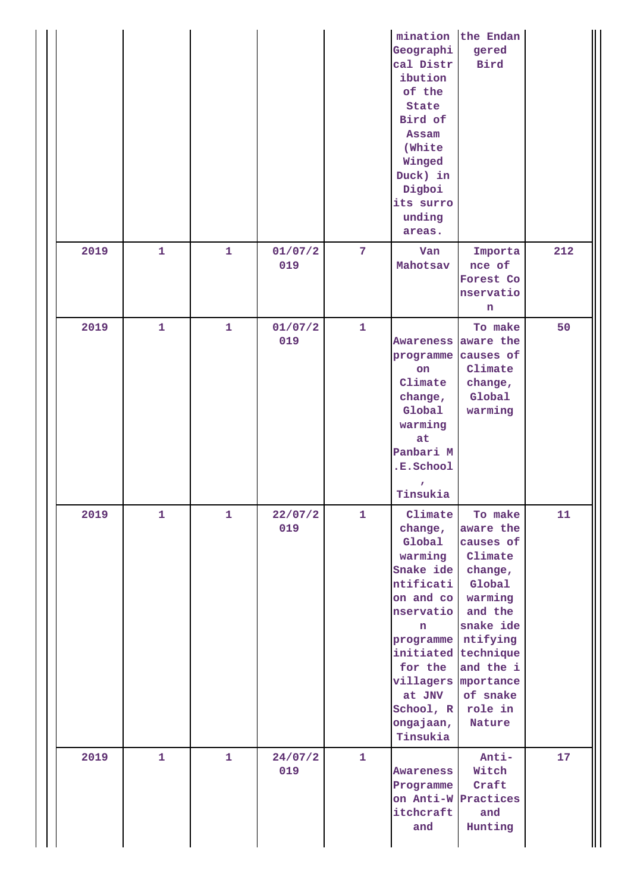|      |              |              |                |                | mination<br>Geographi<br>cal Distr<br>ibution<br>of the<br>State<br>Bird of<br>Assam<br>(White<br>Winged<br>Duck) in<br>Digboi<br>its surro<br>unding<br>areas.                                                                  | the Endan<br>gered<br><b>Bird</b>                                                                                                                  |     |
|------|--------------|--------------|----------------|----------------|----------------------------------------------------------------------------------------------------------------------------------------------------------------------------------------------------------------------------------|----------------------------------------------------------------------------------------------------------------------------------------------------|-----|
| 2019 | $\mathbf{1}$ | $\mathbf{1}$ | 01/07/2<br>019 | $\overline{7}$ | Van<br>Mahotsav                                                                                                                                                                                                                  | Importa<br>nce of<br>Forest Co<br>nservatio<br>n                                                                                                   | 212 |
| 2019 | $\mathbf{1}$ | $\mathbf{1}$ | 01/07/2<br>019 | $\mathbf{1}$   | Awareness aware the<br>programme<br>on<br>Climate<br>change,<br>Global<br>warming<br>at<br>Panbari M<br>.E.School<br>Tinsukia                                                                                                    | To make<br>causes of<br>Climate<br>change,<br>Global<br>warming                                                                                    | 50  |
| 2019 | $\mathbf{1}$ | $\mathbf{1}$ | 22/07/2<br>019 | $\mathbf{1}$   | Climate<br>change,<br>Global<br>warming<br>Snake ide<br>ntificati<br>on and co<br>nservatio<br>n.<br>programme ntifying<br>initiated technique<br>for the<br>villagers mportance<br>at JNV<br>School, R<br>ongajaan,<br>Tinsukia | To make<br>aware the<br>causes of<br>Climate<br>change,<br>Global<br>warming<br>and the<br>snake ide<br>and the i<br>of snake<br>role in<br>Nature | 11  |
| 2019 | $\mathbf{1}$ | $\mathbf{1}$ | 24/07/2<br>019 | $\mathbf{1}$   | Awareness<br>Programme<br>itchcraft<br>and                                                                                                                                                                                       | Anti-<br>Witch<br>Craft<br>on Anti-W Practices<br>and<br>Hunting                                                                                   | 17  |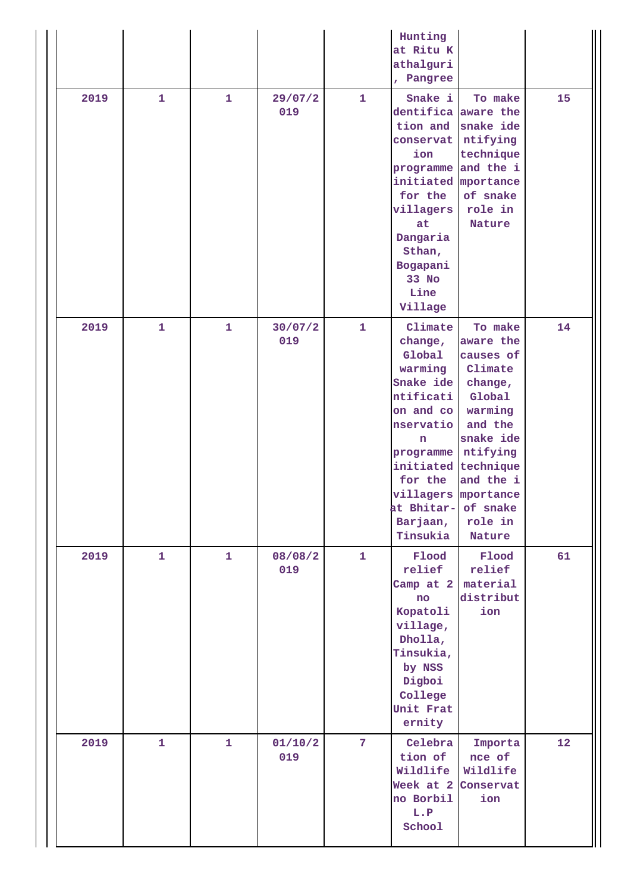|      |              |              |                                |                | Hunting<br>at Ritu K<br>athalguri<br>, Pangree                                                                                                                                                               |                                                                                                                                                                |    |
|------|--------------|--------------|--------------------------------|----------------|--------------------------------------------------------------------------------------------------------------------------------------------------------------------------------------------------------------|----------------------------------------------------------------------------------------------------------------------------------------------------------------|----|
| 2019 | $\mathbf{1}$ | $\mathbf{1}$ | 29/07/2<br>$\mathbf{1}$<br>019 |                | Snake i<br>dentifica<br>tion and<br>conservat<br>ion<br>programme and the i<br>initiated<br>for the<br>villagers<br>at<br>Dangaria<br>Sthan,<br>Bogapani<br>33 No<br>Line<br>Village                         | To make<br>aware the<br>snake ide<br>ntifying<br>technique<br>mportance<br>of snake<br>role in<br>Nature                                                       | 15 |
| 2019 | $\mathbf{1}$ | $\mathbf{1}$ | 30/07/2<br>019                 | $\mathbf{1}$   | Climate<br>change,<br>Global<br>warming<br>Snake ide<br>ntificati<br>on and co<br>nservatio<br>n<br>programme<br>initiated technique<br>for the<br>villagers mportance<br>at Bhitar-<br>Barjaan,<br>Tinsukia | To make<br>aware the<br>causes of<br>Climate<br>change,<br>Global<br>warming<br>and the<br>snake ide<br>ntifying<br>and the i<br>of snake<br>role in<br>Nature | 14 |
| 2019 | $\mathbf{1}$ | $\mathbf{1}$ | 08/08/2<br>019                 | $\mathbf{1}$   | Flood<br>relief<br>Camp at 2<br>$\mathbf{no}$<br>Kopatoli<br>village,<br>Dholla,<br>Tinsukia,<br>by NSS<br>Digboi<br>College<br>Unit Frat<br>ernity                                                          | Flood<br>relief<br>material<br>distribut<br>ion                                                                                                                | 61 |
| 2019 | $\mathbf{1}$ | $\mathbf{1}$ | 01/10/2<br>019                 | $\overline{7}$ | Celebra<br>tion of<br>Wildlife<br>Week at 2<br>no Borbil<br>L.P<br>School                                                                                                                                    | Importa<br>nce of<br>Wildlife<br>Conservat<br>ion                                                                                                              | 12 |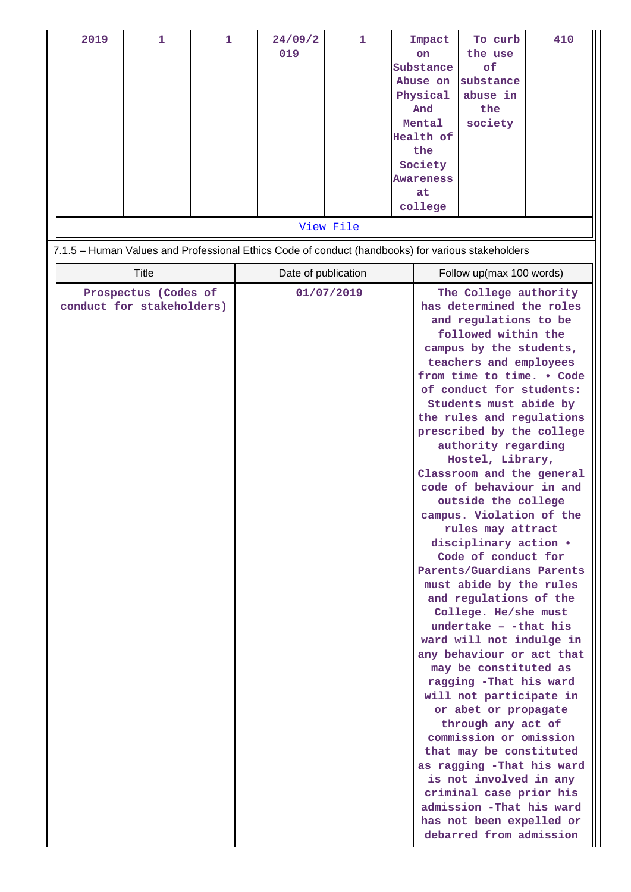| 1<br>$\mathbf{1}$<br>2019                                                                         | 24/09/2<br>019      | $\mathbf{1}$ | Impact<br><b>on</b><br>Substance<br>Abuse on<br>Physical<br>And<br>Mental<br>Health of<br>the<br>Society | To curb<br>the use<br>of<br>substance<br>abuse in<br>the<br>society                                                                                                                                                                                                                                                                                                                                                                                                                                                                                                                                                                                                                                                                                                                                                                                                                                                                                                                                                        | 410 |
|---------------------------------------------------------------------------------------------------|---------------------|--------------|----------------------------------------------------------------------------------------------------------|----------------------------------------------------------------------------------------------------------------------------------------------------------------------------------------------------------------------------------------------------------------------------------------------------------------------------------------------------------------------------------------------------------------------------------------------------------------------------------------------------------------------------------------------------------------------------------------------------------------------------------------------------------------------------------------------------------------------------------------------------------------------------------------------------------------------------------------------------------------------------------------------------------------------------------------------------------------------------------------------------------------------------|-----|
|                                                                                                   |                     |              | <b>Awareness</b><br>at<br>college                                                                        |                                                                                                                                                                                                                                                                                                                                                                                                                                                                                                                                                                                                                                                                                                                                                                                                                                                                                                                                                                                                                            |     |
|                                                                                                   |                     | View File    |                                                                                                          |                                                                                                                                                                                                                                                                                                                                                                                                                                                                                                                                                                                                                                                                                                                                                                                                                                                                                                                                                                                                                            |     |
| 7.1.5 - Human Values and Professional Ethics Code of conduct (handbooks) for various stakeholders |                     |              |                                                                                                          |                                                                                                                                                                                                                                                                                                                                                                                                                                                                                                                                                                                                                                                                                                                                                                                                                                                                                                                                                                                                                            |     |
| Title                                                                                             | Date of publication |              |                                                                                                          | Follow up(max 100 words)                                                                                                                                                                                                                                                                                                                                                                                                                                                                                                                                                                                                                                                                                                                                                                                                                                                                                                                                                                                                   |     |
| Prospectus (Codes of<br>conduct for stakeholders)                                                 |                     | 01/07/2019   |                                                                                                          | The College authority<br>has determined the roles<br>and regulations to be<br>followed within the<br>campus by the students,<br>teachers and employees<br>from time to time. . Code<br>of conduct for students:<br>Students must abide by<br>the rules and regulations<br>prescribed by the college<br>authority regarding<br>Hostel, Library,<br>Classroom and the general<br>code of behaviour in and<br>outside the college<br>campus. Violation of the<br>rules may attract<br>disciplinary action .<br>Code of conduct for<br>Parents/Guardians Parents<br>must abide by the rules<br>and regulations of the<br>College. He/she must<br>undertake - -that his<br>ward will not indulge in<br>any behaviour or act that<br>may be constituted as<br>ragging -That his ward<br>will not participate in<br>or abet or propagate<br>through any act of<br>commission or omission<br>that may be constituted<br>as ragging -That his ward<br>is not involved in any<br>criminal case prior his<br>admission -That his ward |     |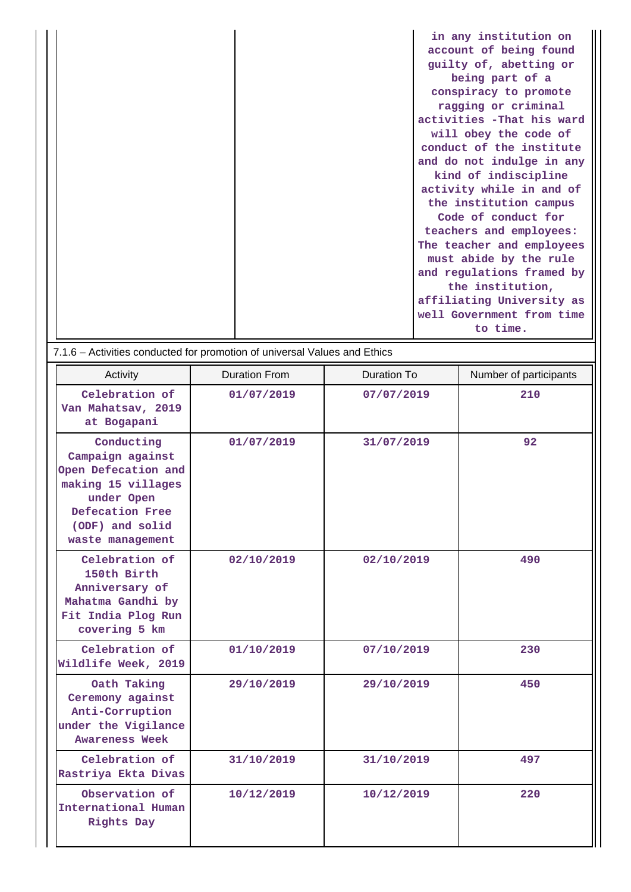|  | in any institution on      |
|--|----------------------------|
|  | account of being found     |
|  | guilty of, abetting or     |
|  | being part of a            |
|  | conspiracy to promote      |
|  | ragging or criminal        |
|  | activities - That his ward |
|  | will obey the code of      |
|  | conduct of the institute   |
|  | and do not indulge in any  |
|  | kind of indiscipline       |
|  | activity while in and of   |
|  | the institution campus     |
|  | Code of conduct for        |
|  | teachers and employees:    |
|  | The teacher and employees  |
|  | must abide by the rule     |
|  | and regulations framed by  |
|  | the institution,           |
|  | affiliating University as  |
|  | well Government from time  |
|  | to time.                   |

| 7.1.6 - Activities conducted for promotion of universal Values and Ethics                                                                           |                      |                    |                        |  |
|-----------------------------------------------------------------------------------------------------------------------------------------------------|----------------------|--------------------|------------------------|--|
| Activity                                                                                                                                            | <b>Duration From</b> | <b>Duration To</b> | Number of participants |  |
| Celebration of<br>Van Mahatsav, 2019<br>at Bogapani                                                                                                 | 01/07/2019           | 07/07/2019         | 210                    |  |
| Conducting<br>Campaign against<br>Open Defecation and<br>making 15 villages<br>under Open<br>Defecation Free<br>(ODF) and solid<br>waste management | 01/07/2019           | 31/07/2019         | 92                     |  |
| Celebration of<br>150th Birth<br>Anniversary of<br>Mahatma Gandhi by<br>Fit India Plog Run<br>covering 5 km                                         | 02/10/2019           | 02/10/2019         | 490                    |  |
| Celebration of<br>Wildlife Week, 2019                                                                                                               | 01/10/2019           | 07/10/2019         | 230                    |  |
| Oath Taking<br>Ceremony against<br>Anti-Corruption<br>under the Vigilance<br><b>Awareness Week</b>                                                  | 29/10/2019           | 29/10/2019         | 450                    |  |
| Celebration of<br>Rastriya Ekta Divas                                                                                                               | 31/10/2019           | 31/10/2019         | 497                    |  |
| Observation of<br>International Human<br>Rights Day                                                                                                 | 10/12/2019           | 10/12/2019         | 220                    |  |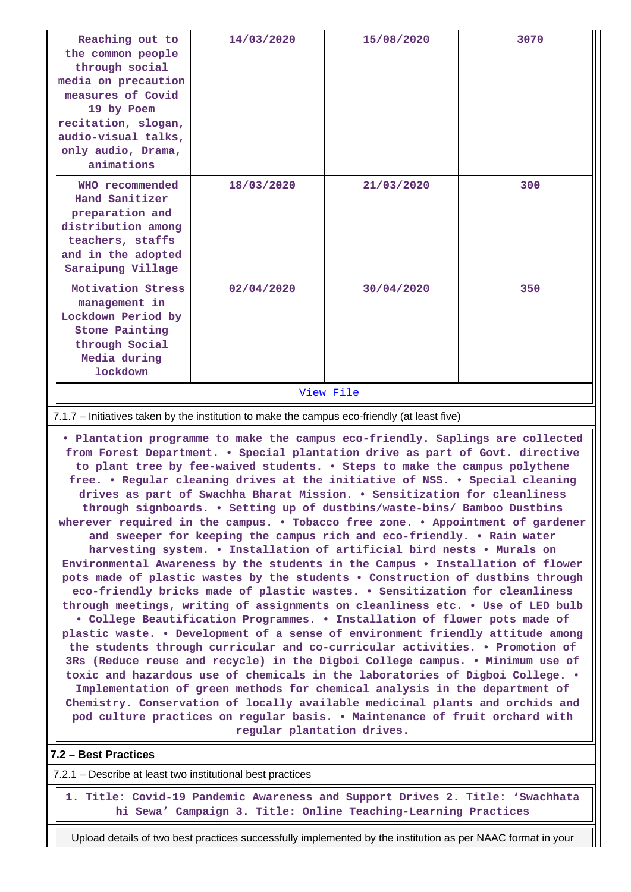| Reaching out to<br>the common people<br>through social<br>media on precaution<br>measures of Covid<br>19 by Poem<br>recitation, slogan,<br>audio-visual talks,<br>only audio, Drama,<br>animations                                                                                                                                                                                                                                                                                                                                                                                                                                                                                                                                                                                                                                                                                                                                                                                                                                                                                                                                                                                                                                                                                                                                                                                                                                                                                                                                                                                                                                                                                                                                 | 14/03/2020 | 15/08/2020 | 3070 |  |  |
|------------------------------------------------------------------------------------------------------------------------------------------------------------------------------------------------------------------------------------------------------------------------------------------------------------------------------------------------------------------------------------------------------------------------------------------------------------------------------------------------------------------------------------------------------------------------------------------------------------------------------------------------------------------------------------------------------------------------------------------------------------------------------------------------------------------------------------------------------------------------------------------------------------------------------------------------------------------------------------------------------------------------------------------------------------------------------------------------------------------------------------------------------------------------------------------------------------------------------------------------------------------------------------------------------------------------------------------------------------------------------------------------------------------------------------------------------------------------------------------------------------------------------------------------------------------------------------------------------------------------------------------------------------------------------------------------------------------------------------|------------|------------|------|--|--|
| WHO recommended<br>Hand Sanitizer<br>preparation and<br>distribution among<br>teachers, staffs<br>and in the adopted<br>Saraipung Village                                                                                                                                                                                                                                                                                                                                                                                                                                                                                                                                                                                                                                                                                                                                                                                                                                                                                                                                                                                                                                                                                                                                                                                                                                                                                                                                                                                                                                                                                                                                                                                          | 18/03/2020 | 21/03/2020 | 300  |  |  |
| Motivation Stress<br>management in<br>Lockdown Period by<br><b>Stone Painting</b><br>through Social<br>Media during<br><b>lockdown</b>                                                                                                                                                                                                                                                                                                                                                                                                                                                                                                                                                                                                                                                                                                                                                                                                                                                                                                                                                                                                                                                                                                                                                                                                                                                                                                                                                                                                                                                                                                                                                                                             | 02/04/2020 | 30/04/2020 | 350  |  |  |
| View File                                                                                                                                                                                                                                                                                                                                                                                                                                                                                                                                                                                                                                                                                                                                                                                                                                                                                                                                                                                                                                                                                                                                                                                                                                                                                                                                                                                                                                                                                                                                                                                                                                                                                                                          |            |            |      |  |  |
| 7.1.7 – Initiatives taken by the institution to make the campus eco-friendly (at least five)                                                                                                                                                                                                                                                                                                                                                                                                                                                                                                                                                                                                                                                                                                                                                                                                                                                                                                                                                                                                                                                                                                                                                                                                                                                                                                                                                                                                                                                                                                                                                                                                                                       |            |            |      |  |  |
| . Plantation programme to make the campus eco-friendly. Saplings are collected<br>from Forest Department. . Special plantation drive as part of Govt. directive<br>to plant tree by fee-waived students. . Steps to make the campus polythene<br>free. . Regular cleaning drives at the initiative of NSS. . Special cleaning<br>drives as part of Swachha Bharat Mission. . Sensitization for cleanliness<br>through signboards. . Setting up of dustbins/waste-bins/ Bamboo Dustbins<br>wherever required in the campus. . Tobacco free zone. . Appointment of gardener<br>and sweeper for keeping the campus rich and eco-friendly. . Rain water<br>harvesting system. . Installation of artificial bird nests . Murals on<br>Environmental Awareness by the students in the Campus . Installation of flower<br>pots made of plastic wastes by the students . Construction of dustbins through<br>eco-friendly bricks made of plastic wastes. . Sensitization for cleanliness<br>through meetings, writing of assignments on cleanliness etc. . Use of LED bulb<br>. College Beautification Programmes. . Installation of flower pots made of<br>plastic waste. . Development of a sense of environment friendly attitude among<br>the students through curricular and co-curricular activities. . Promotion of<br>3Rs (Reduce reuse and recycle) in the Digboi College campus. . Minimum use of<br>toxic and hazardous use of chemicals in the laboratories of Digboi College. .<br>Implementation of green methods for chemical analysis in the department of<br>Chemistry. Conservation of locally available medicinal plants and orchids and<br>pod culture practices on regular basis. . Maintenance of fruit orchard with |            |            |      |  |  |
| regular plantation drives.                                                                                                                                                                                                                                                                                                                                                                                                                                                                                                                                                                                                                                                                                                                                                                                                                                                                                                                                                                                                                                                                                                                                                                                                                                                                                                                                                                                                                                                                                                                                                                                                                                                                                                         |            |            |      |  |  |

# **7.2 – Best Practices**

7.2.1 – Describe at least two institutional best practices

 **1. Title: Covid-19 Pandemic Awareness and Support Drives 2. Title: 'Swachhata hi Sewa' Campaign 3. Title: Online Teaching-Learning Practices**

Upload details of two best practices successfully implemented by the institution as per NAAC format in your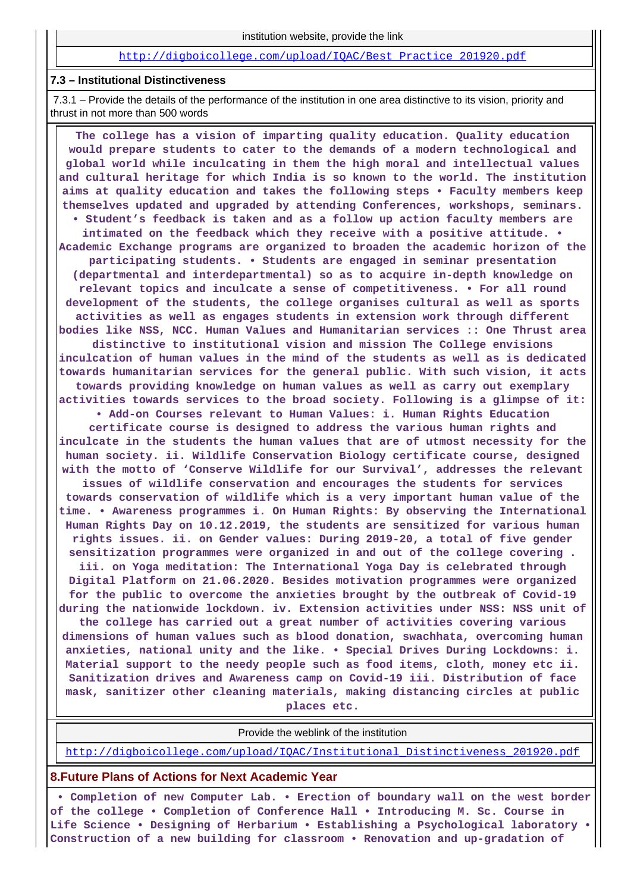#### [http://digboicollege.com/upload/IQAC/Best\\_Practice\\_201920.pdf](http://digboicollege.com/upload/IQAC/Best_Practice_201920.pdf)

#### **7.3 – Institutional Distinctiveness**

 7.3.1 – Provide the details of the performance of the institution in one area distinctive to its vision, priority and thrust in not more than 500 words

 **The college has a vision of imparting quality education. Quality education would prepare students to cater to the demands of a modern technological and global world while inculcating in them the high moral and intellectual values and cultural heritage for which India is so known to the world. The institution aims at quality education and takes the following steps • Faculty members keep themselves updated and upgraded by attending Conferences, workshops, seminars. • Student's feedback is taken and as a follow up action faculty members are intimated on the feedback which they receive with a positive attitude. • Academic Exchange programs are organized to broaden the academic horizon of the participating students. • Students are engaged in seminar presentation (departmental and interdepartmental) so as to acquire in-depth knowledge on relevant topics and inculcate a sense of competitiveness. • For all round development of the students, the college organises cultural as well as sports activities as well as engages students in extension work through different bodies like NSS, NCC. Human Values and Humanitarian services :: One Thrust area distinctive to institutional vision and mission The College envisions inculcation of human values in the mind of the students as well as is dedicated towards humanitarian services for the general public. With such vision, it acts towards providing knowledge on human values as well as carry out exemplary activities towards services to the broad society. Following is a glimpse of it: • Add-on Courses relevant to Human Values: i. Human Rights Education certificate course is designed to address the various human rights and inculcate in the students the human values that are of utmost necessity for the human society. ii. Wildlife Conservation Biology certificate course, designed with the motto of 'Conserve Wildlife for our Survival', addresses the relevant issues of wildlife conservation and encourages the students for services towards conservation of wildlife which is a very important human value of the time. • Awareness programmes i. On Human Rights: By observing the International Human Rights Day on 10.12.2019, the students are sensitized for various human rights issues. ii. on Gender values: During 2019-20, a total of five gender sensitization programmes were organized in and out of the college covering . iii. on Yoga meditation: The International Yoga Day is celebrated through Digital Platform on 21.06.2020. Besides motivation programmes were organized for the public to overcome the anxieties brought by the outbreak of Covid-19 during the nationwide lockdown. iv. Extension activities under NSS: NSS unit of the college has carried out a great number of activities covering various dimensions of human values such as blood donation, swachhata, overcoming human anxieties, national unity and the like. • Special Drives During Lockdowns: i. Material support to the needy people such as food items, cloth, money etc ii. Sanitization drives and Awareness camp on Covid-19 iii. Distribution of face mask, sanitizer other cleaning materials, making distancing circles at public places etc.**

Provide the weblink of the institution

[http://digboicollege.com/upload/IQAC/Institutional\\_Distinctiveness\\_201920.pdf](http://digboicollege.com/upload/IQAC/Institutional_Distinctiveness_201920.pdf)

#### **8.Future Plans of Actions for Next Academic Year**

 **• Completion of new Computer Lab. • Erection of boundary wall on the west border of the college • Completion of Conference Hall • Introducing M. Sc. Course in Life Science • Designing of Herbarium • Establishing a Psychological laboratory • Construction of a new building for classroom • Renovation and up-gradation of**